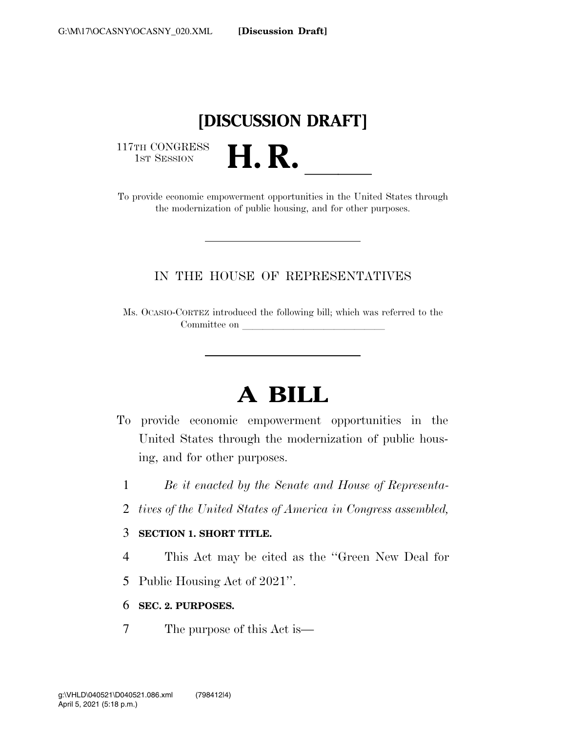# **[DISCUSSION DRAFT]**

117TH CONGRESS<br>1st Session

117TH CONGRESS<br>1st SESSION **H. R.** <u>International Conservation</u><br>To provide economic empowerment opportunities in the United States through the modernization of public housing, and for other purposes.

## IN THE HOUSE OF REPRESENTATIVES

Ms. OCASIO-CORTEZ introduced the following bill; which was referred to the Committee on <u>laterallise</u>

# **A BILL**

- To provide economic empowerment opportunities in the United States through the modernization of public housing, and for other purposes.
	- 1 *Be it enacted by the Senate and House of Representa-*
	- 2 *tives of the United States of America in Congress assembled,*

### 3 **SECTION 1. SHORT TITLE.**

- 4 This Act may be cited as the ''Green New Deal for
- 5 Public Housing Act of 2021''.
- 6 **SEC. 2. PURPOSES.**
- 7 The purpose of this Act is—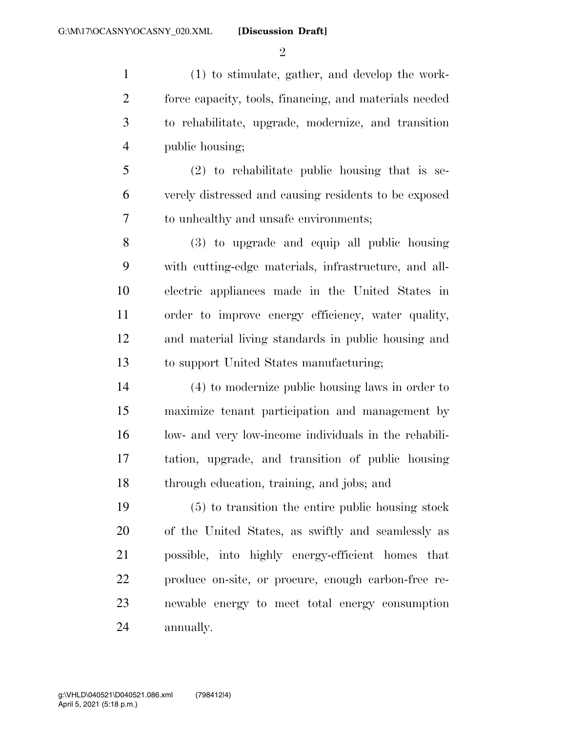$\mathfrak{D}$ 

 (1) to stimulate, gather, and develop the work- force capacity, tools, financing, and materials needed to rehabilitate, upgrade, modernize, and transition public housing;

 (2) to rehabilitate public housing that is se- verely distressed and causing residents to be exposed to unhealthy and unsafe environments;

 (3) to upgrade and equip all public housing with cutting-edge materials, infrastructure, and all- electric appliances made in the United States in order to improve energy efficiency, water quality, and material living standards in public housing and to support United States manufacturing;

 (4) to modernize public housing laws in order to maximize tenant participation and management by low- and very low-income individuals in the rehabili- tation, upgrade, and transition of public housing through education, training, and jobs; and

 (5) to transition the entire public housing stock of the United States, as swiftly and seamlessly as possible, into highly energy-efficient homes that produce on-site, or procure, enough carbon-free re- newable energy to meet total energy consumption annually.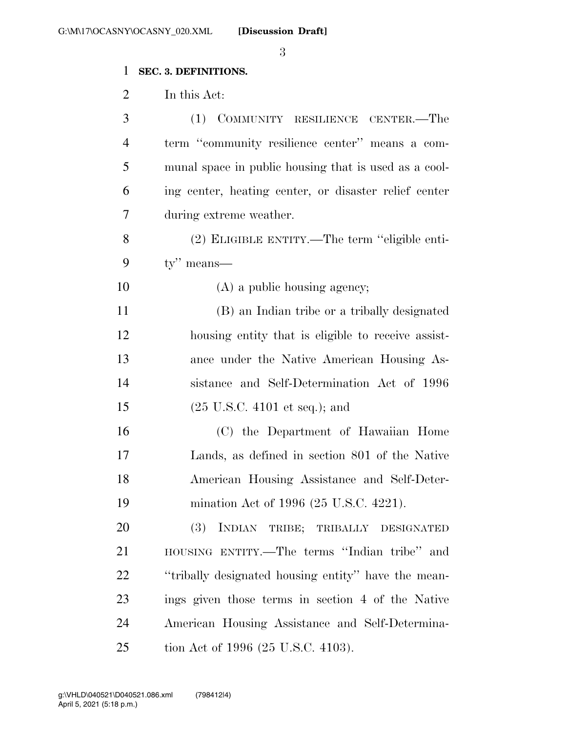## **SEC. 3. DEFINITIONS.**

In this Act:

| 3              | (1) COMMUNITY RESILIENCE CENTER.-The                  |
|----------------|-------------------------------------------------------|
| $\overline{4}$ | term "community resilience center" means a com-       |
| 5              | munal space in public housing that is used as a cool- |
| 6              | ing center, heating center, or disaster relief center |
| 7              | during extreme weather.                               |
| 8              | (2) ELIGIBLE ENTITY.—The term "eligible enti-         |
| 9              | $ty''$ means—                                         |
| 10             | $(A)$ a public housing agency;                        |
| 11             | (B) an Indian tribe or a tribally designated          |
| 12             | housing entity that is eligible to receive assist-    |
| 13             | ance under the Native American Housing As-            |
| 14             | sistance and Self-Determination Act of 1996           |
| 15             | $(25 \text{ U.S.C. } 4101 \text{ et seq.});$ and      |
| 16             | (C) the Department of Hawaiian Home                   |
| 17             | Lands, as defined in section 801 of the Native        |
| 18             | American Housing Assistance and Self-Deter-           |
| 19             | mination Act of 1996 (25 U.S.C. 4221).                |
| 20             | (3) INDIAN TRIBE; TRIBALLY DESIGNATED                 |
| 21             | HOUSING ENTITY.—The terms "Indian tribe" and          |
| 22             | "tribally designated housing entity" have the mean-   |
| 23             | ings given those terms in section 4 of the Native     |
| 24             | American Housing Assistance and Self-Determina-       |
| 25             | tion Act of 1996 (25 U.S.C. 4103).                    |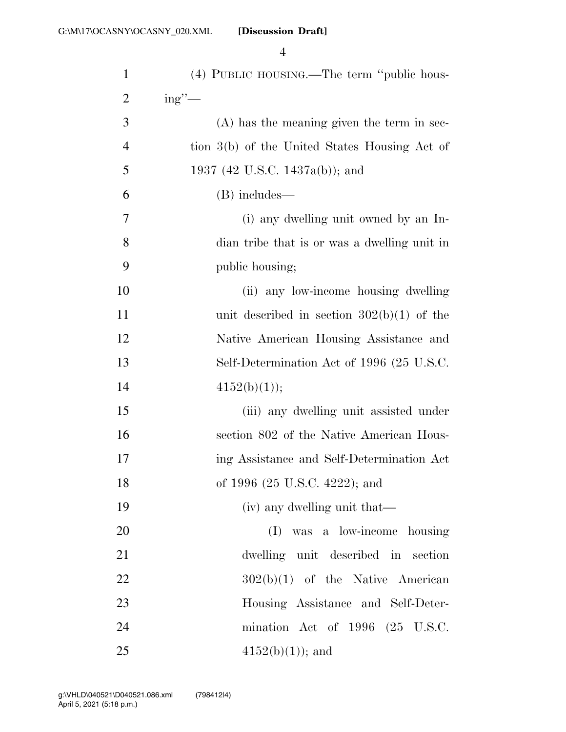| $\mathbf{1}$   | (4) PUBLIC HOUSING.—The term "public hous-    |
|----------------|-----------------------------------------------|
| 2              | $ing''$ —                                     |
| 3              | (A) has the meaning given the term in sec-    |
| $\overline{4}$ | tion 3(b) of the United States Housing Act of |
| 5              | 1937 (42 U.S.C. 1437a(b)); and                |
| 6              | (B) includes—                                 |
| $\tau$         | (i) any dwelling unit owned by an In-         |
| 8              | dian tribe that is or was a dwelling unit in  |
| 9              | public housing;                               |
| 10             | (ii) any low-income housing dwelling          |
| 11             | unit described in section $302(b)(1)$ of the  |
| 12             | Native American Housing Assistance and        |
| 13             | Self-Determination Act of 1996 (25 U.S.C.     |
| 14             | 4152(b)(1));                                  |
| 15             | (iii) any dwelling unit assisted under        |
| 16             | section 802 of the Native American Hous-      |
| 17             | ing Assistance and Self-Determination Act     |
| 18             | of 1996 (25 U.S.C. 4222); and                 |
| 19             | (iv) any dwelling unit that—                  |
| 20             | (I) was a low-income housing                  |
| 21             | dwelling unit described in section            |
| 22             | $302(b)(1)$ of the Native American            |
| 23             | Housing Assistance and Self-Deter-            |
| 24             | mination Act of $1996$ $(25 \text{ U.S.C.})$  |
| 25             | $4152(b)(1)$ ; and                            |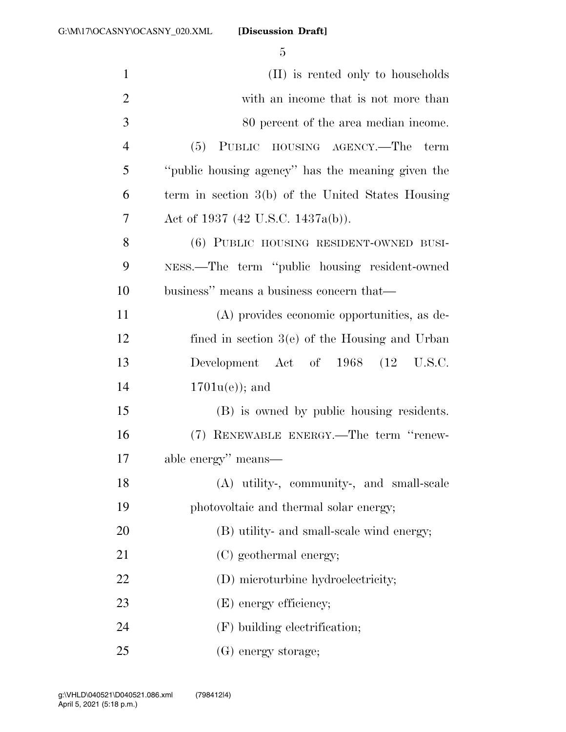| $\mathbf{1}$   | (II) is rented only to households                 |
|----------------|---------------------------------------------------|
| $\overline{2}$ | with an income that is not more than              |
| 3              | 80 percent of the area median income.             |
| $\overline{4}$ | (5) PUBLIC HOUSING AGENCY.—The term               |
| 5              | "public housing agency" has the meaning given the |
| 6              | term in section 3(b) of the United States Housing |
| 7              | Act of 1937 (42 U.S.C. 1437a(b)).                 |
| 8              | (6) PUBLIC HOUSING RESIDENT-OWNED BUSI-           |
| 9              | NESS.—The term "public housing resident-owned     |
| 10             | business" means a business concern that—          |
| 11             | (A) provides economic opportunities, as de-       |
| 12             | fined in section $3(e)$ of the Housing and Urban  |
| 13             | Development Act of 1968 (12 U.S.C.                |
| 14             | $1701u(e)$ ; and                                  |
| 15             | (B) is owned by public housing residents.         |
| 16             | (7) RENEWABLE ENERGY.—The term "renew-            |
| 17             | able energy" means—                               |
| 18             | (A) utility-, community-, and small-scale         |
| 19             | photovoltaic and thermal solar energy;            |
| 20             | (B) utility- and small-scale wind energy;         |
| 21             | (C) geothermal energy;                            |
| 22             | (D) microturbine hydroelectricity;                |
| 23             | (E) energy efficiency;                            |
| 24             | $(F)$ building electrification;                   |
| 25             | (G) energy storage;                               |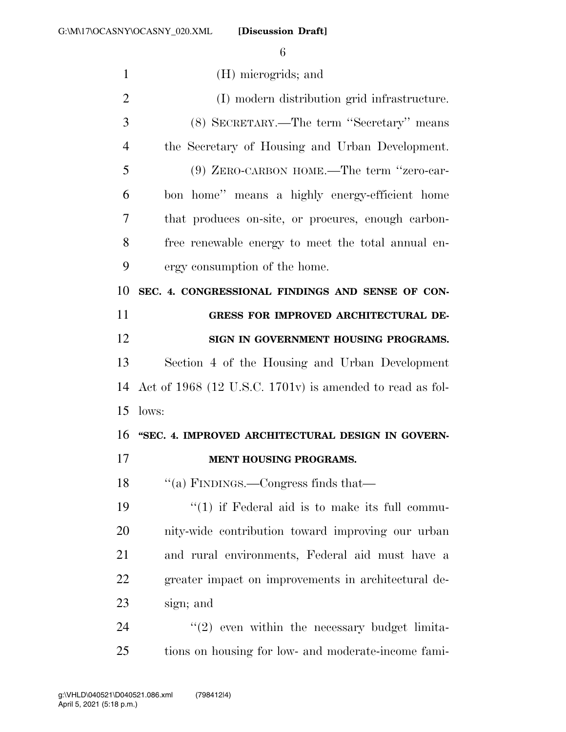| $\mathbf{1}$   | (H) microgrids; and                                      |
|----------------|----------------------------------------------------------|
| $\overline{2}$ | (I) modern distribution grid infrastructure.             |
| 3              | (8) SECRETARY.—The term "Secretary" means                |
| $\overline{4}$ | the Secretary of Housing and Urban Development.          |
| 5              | (9) ZERO-CARBON HOME.—The term "zero-car-                |
| 6              | bon home" means a highly energy-efficient home           |
| 7              | that produces on-site, or procures, enough carbon-       |
| 8              | free renewable energy to meet the total annual en-       |
| 9              | ergy consumption of the home.                            |
| 10             | SEC. 4. CONGRESSIONAL FINDINGS AND SENSE OF CON-         |
| 11             | <b>GRESS FOR IMPROVED ARCHITECTURAL DE-</b>              |
| 12             | SIGN IN GOVERNMENT HOUSING PROGRAMS.                     |
| 13             | Section 4 of the Housing and Urban Development           |
| 14             | Act of 1968 (12 U.S.C. 1701v) is amended to read as fol- |
| 15             | lows:                                                    |
| 16             | "SEC. 4. IMPROVED ARCHITECTURAL DESIGN IN GOVERN-        |
| 17             | <b>MENT HOUSING PROGRAMS.</b>                            |
| 18             | "(a) FINDINGS.—Congress finds that—                      |
| 19             | $\lq(1)$ if Federal aid is to make its full commu-       |
| 20             | nity-wide contribution toward improving our urban        |
| 21             | and rural environments, Federal aid must have a          |
| 22             | greater impact on improvements in architectural de-      |
| 23             | sign; and                                                |
| 24             | $\lq(2)$ even within the necessary budget limita-        |
| 25             | tions on housing for low- and moderate-income fami-      |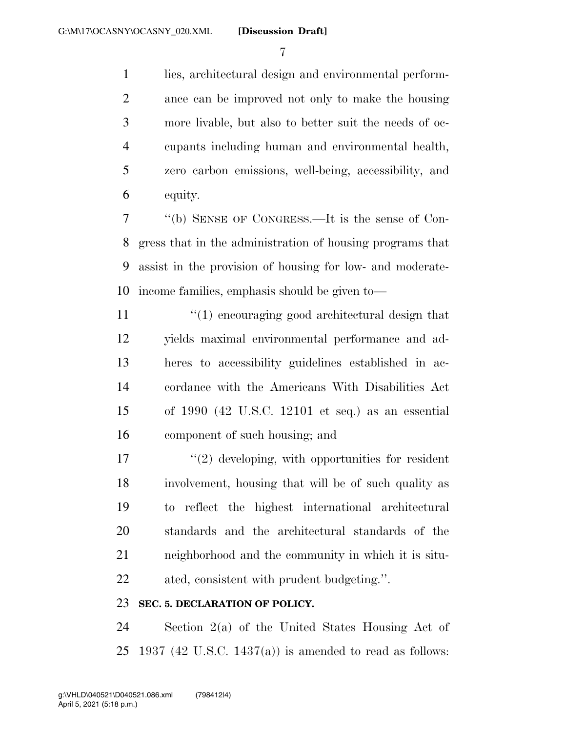lies, architectural design and environmental perform- ance can be improved not only to make the housing more livable, but also to better suit the needs of oc- cupants including human and environmental health, zero carbon emissions, well-being, accessibility, and equity.

 ''(b) SENSE OF CONGRESS.—It is the sense of Con- gress that in the administration of housing programs that assist in the provision of housing for low- and moderate-income families, emphasis should be given to—

11 ''(1) encouraging good architectural design that yields maximal environmental performance and ad- heres to accessibility guidelines established in ac- cordance with the Americans With Disabilities Act of 1990 (42 U.S.C. 12101 et seq.) as an essential component of such housing; and

 $\frac{17}{20}$  ''(2) developing, with opportunities for resident involvement, housing that will be of such quality as to reflect the highest international architectural standards and the architectural standards of the neighborhood and the community in which it is situ-ated, consistent with prudent budgeting.''.

### **SEC. 5. DECLARATION OF POLICY.**

 Section 2(a) of the United States Housing Act of 25 1937 (42 U.S.C. 1437(a)) is amended to read as follows: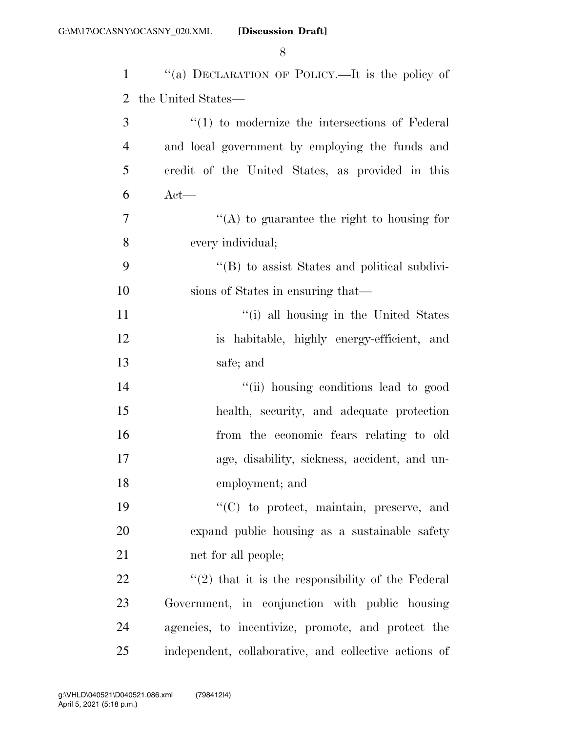| $\mathbf{1}$   | "(a) DECLARATION OF POLICY.—It is the policy of       |
|----------------|-------------------------------------------------------|
| 2              | the United States—                                    |
| 3              | $\lq(1)$ to modernize the intersections of Federal    |
| $\overline{4}$ | and local government by employing the funds and       |
| 5              | credit of the United States, as provided in this      |
| 6              | $Act$ —                                               |
| 7              | $\lq\lq$ to guarantee the right to housing for        |
| 8              | every individual;                                     |
| 9              | $\lq\lq$ to assist States and political subdivi-      |
| 10             | sions of States in ensuring that—                     |
| 11             | "(i) all housing in the United States                 |
| 12             | is habitable, highly energy-efficient, and            |
| 13             | safe; and                                             |
| 14             | "(ii) housing conditions lead to good                 |
| 15             | health, security, and adequate protection             |
| 16             | from the economic fears relating to old               |
| 17             | age, disability, sickness, accident, and un-          |
| 18             | employment; and                                       |
| 19             | "(C) to protect, maintain, preserve, and              |
| 20             | expand public housing as a sustainable safety         |
| 21             | net for all people;                                   |
| 22             | $\lq(2)$ that it is the responsibility of the Federal |
| 23             | Government, in conjunction with public housing        |
| 24             | agencies, to incentivize, promote, and protect the    |
| 25             | independent, collaborative, and collective actions of |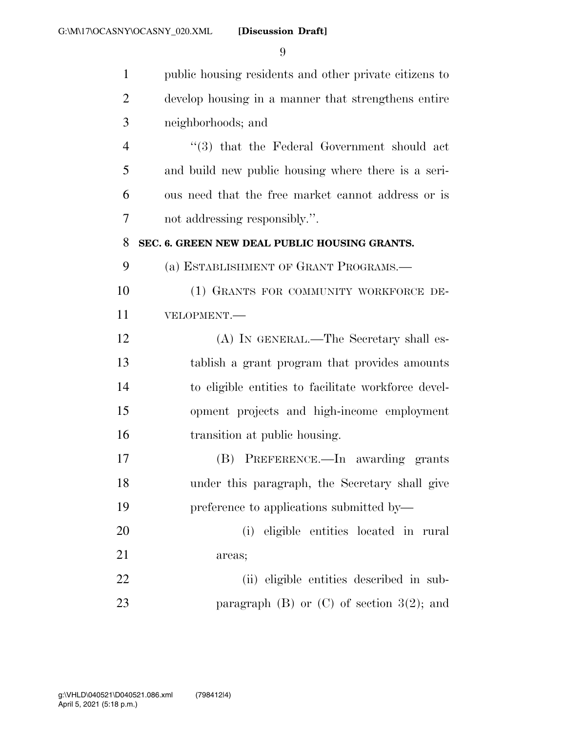| $\mathbf{1}$   | public housing residents and other private citizens to |
|----------------|--------------------------------------------------------|
| $\overline{2}$ | develop housing in a manner that strengthens entire    |
| 3              | neighborhoods; and                                     |
| $\overline{4}$ | $(3)$ that the Federal Government should act           |
| 5              | and build new public housing where there is a seri-    |
| 6              | ous need that the free market cannot address or is     |
| 7              | not addressing responsibly.".                          |
| 8              | SEC. 6. GREEN NEW DEAL PUBLIC HOUSING GRANTS.          |
| 9              | (a) ESTABLISHMENT OF GRANT PROGRAMS.—                  |
| 10             | (1) GRANTS FOR COMMUNITY WORKFORCE DE-                 |
| 11             | VELOPMENT.-                                            |
| 12             | (A) IN GENERAL.—The Secretary shall es-                |
| 13             | tablish a grant program that provides amounts          |
| 14             | to eligible entities to facilitate workforce devel-    |
| 15             | opment projects and high-income employment             |
| 16             | transition at public housing.                          |
| 17             | (B) PREFERENCE.—In awarding grants                     |
| 18             | under this paragraph, the Secretary shall give         |
| 19             | preference to applications submitted by—               |
| 20             | (i) eligible entities located in rural                 |
| 21             | areas;                                                 |
| 22             | (ii) eligible entities described in sub-               |
| 23             | paragraph $(B)$ or $(C)$ of section $3(2)$ ; and       |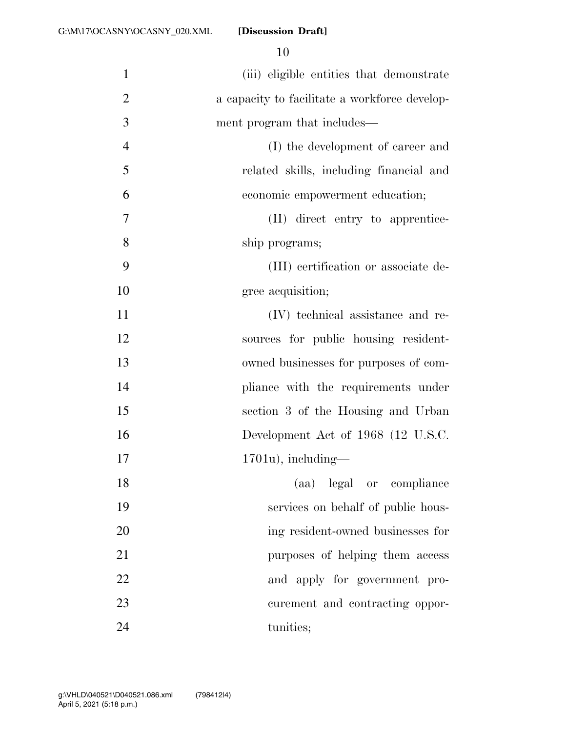| $\mathbf{1}$   | (iii) eligible entities that demonstrate      |
|----------------|-----------------------------------------------|
| $\overline{2}$ | a capacity to facilitate a workforce develop- |
| 3              | ment program that includes—                   |
| $\overline{4}$ | (I) the development of career and             |
| 5              | related skills, including financial and       |
| 6              | economic empowerment education;               |
| 7              | (II) direct entry to apprentice-              |
| 8              | ship programs;                                |
| 9              | (III) certification or associate de-          |
| 10             | gree acquisition;                             |
| 11             | (IV) technical assistance and re-             |
| 12             | sources for public housing resident-          |
| 13             | owned businesses for purposes of com-         |
| 14             | pliance with the requirements under           |
| 15             | section 3 of the Housing and Urban            |
| 16             | Development Act of 1968 (12 U.S.C.            |
| 17             | $1701u$ , including—                          |
| 18             | (aa) legal or compliance                      |
| 19             | services on behalf of public hous-            |
| 20             | ing resident-owned businesses for             |
| 21             | purposes of helping them access               |
| 22             | and apply for government pro-                 |
| 23             | curement and contracting oppor-               |
| 24             | tunities;                                     |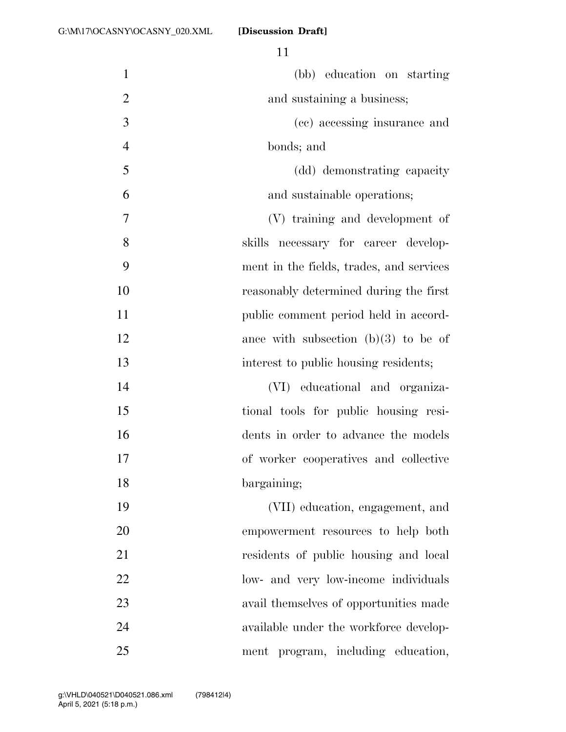| $\mathbf{1}$   | (bb) education on starting               |
|----------------|------------------------------------------|
| $\overline{2}$ | and sustaining a business;               |
| 3              | (cc) accessing insurance and             |
| $\overline{4}$ | bonds; and                               |
| 5              | (dd) demonstrating capacity              |
| 6              | and sustainable operations;              |
| 7              | (V) training and development of          |
| 8              | skills necessary for career develop-     |
| 9              | ment in the fields, trades, and services |
| 10             | reasonably determined during the first   |
| 11             | public comment period held in accord-    |
| 12             | ance with subsection $(b)(3)$ to be of   |
| 13             | interest to public housing residents;    |
| 14             | (VI) educational and organiza-           |
| 15             | tional tools for public housing resi-    |
| 16             | dents in order to advance the models     |
| 17             | of worker cooperatives and collective    |
| 18             | bargaining;                              |
| 19             | (VII) education, engagement, and         |
| 20             | empowerment resources to help both       |
| 21             | residents of public housing and local    |
| 22             | low- and very low-income individuals     |
| 23             | avail themselves of opportunities made   |
| 24             | available under the workforce develop-   |
| 25             | ment program, including education,       |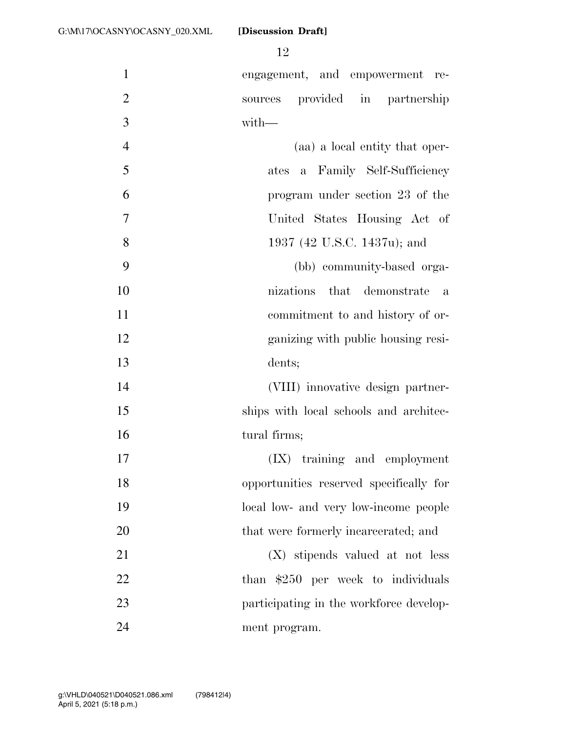engagement, and empowerment re- sources provided in partnership with—

 (aa) a local entity that oper-5 ates a Family Self-Sufficiency program under section 23 of the United States Housing Act of 1937 (42 U.S.C. 1437u); and (bb) community-based orga-

 nizations that demonstrate a commitment to and history of or- ganizing with public housing resi-dents;

 (VIII) innovative design partner-15 ships with local schools and architec-16 tural firms;

 (IX) training and employment opportunities reserved specifically for local low- and very low-income people 20 that were formerly incarcerated; and

 (X) stipends valued at not less 22 than \$250 per week to individuals 23 participating in the workforce develop-ment program.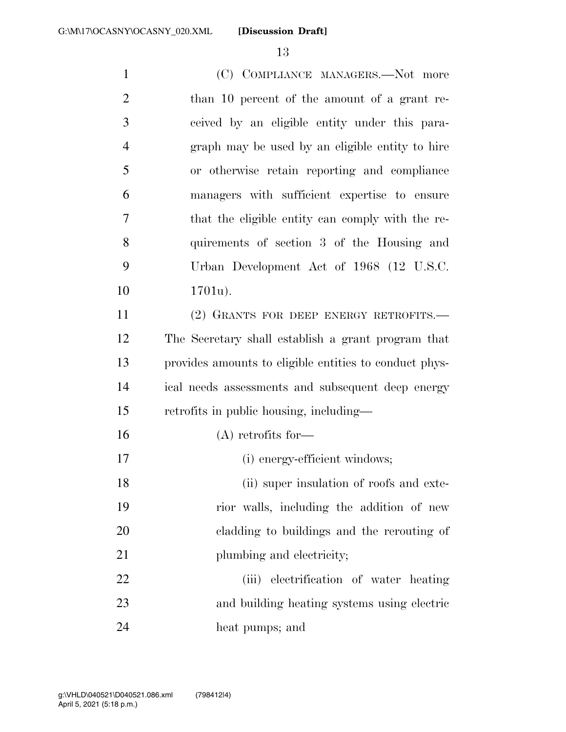1 (C) COMPLIANCE MANAGERS.—Not more 2 than 10 percent of the amount of a grant re- ceived by an eligible entity under this para- graph may be used by an eligible entity to hire or otherwise retain reporting and compliance managers with sufficient expertise to ensure that the eligible entity can comply with the re- quirements of section 3 of the Housing and Urban Development Act of 1968 (12 U.S.C. 1701u). (2) GRANTS FOR DEEP ENERGY RETROFITS.— The Secretary shall establish a grant program that provides amounts to eligible entities to conduct phys- ical needs assessments and subsequent deep energy retrofits in public housing, including— (A) retrofits for— (i) energy-efficient windows; (ii) super insulation of roofs and exte- rior walls, including the addition of new cladding to buildings and the rerouting of 21 plumbing and electricity; (iii) electrification of water heating and building heating systems using electric

heat pumps; and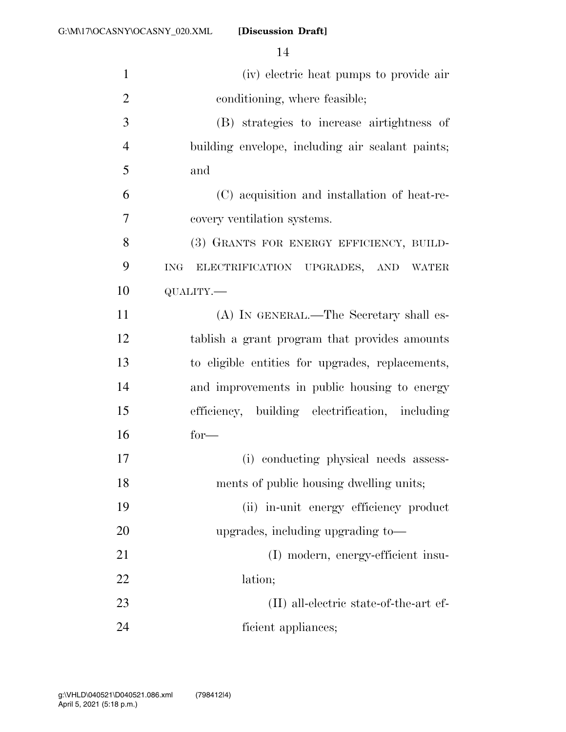| $\mathbf{1}$   | (iv) electric heat pumps to provide air           |
|----------------|---------------------------------------------------|
| $\overline{2}$ | conditioning, where feasible;                     |
| 3              | (B) strategies to increase airtightness of        |
| $\overline{4}$ | building envelope, including air sealant paints;  |
| 5              | and                                               |
| 6              | (C) acquisition and installation of heat-re-      |
| 7              | covery ventilation systems.                       |
| 8              | (3) GRANTS FOR ENERGY EFFICIENCY, BUILD-          |
| 9              | $\rm{ING}$<br>ELECTRIFICATION UPGRADES, AND WATER |
| 10             | QUALITY.-                                         |
| 11             | (A) IN GENERAL.—The Secretary shall es-           |
| 12             | tablish a grant program that provides amounts     |
| 13             | to eligible entities for upgrades, replacements,  |
| 14             | and improvements in public housing to energy      |
| 15             | efficiency, building electrification, including   |
| 16             | $for-$                                            |
| 17             | (i) conducting physical needs assess-             |
| 18             | ments of public housing dwelling units;           |
| 19             | (ii) in-unit energy efficiency product            |
| 20             | upgrades, including upgrading to-                 |
| 21             | (I) modern, energy-efficient insu-                |
| 22             | lation;                                           |
| 23             | $(II)$ all-electric state-of-the-art ef-          |
| 24             | ficient appliances;                               |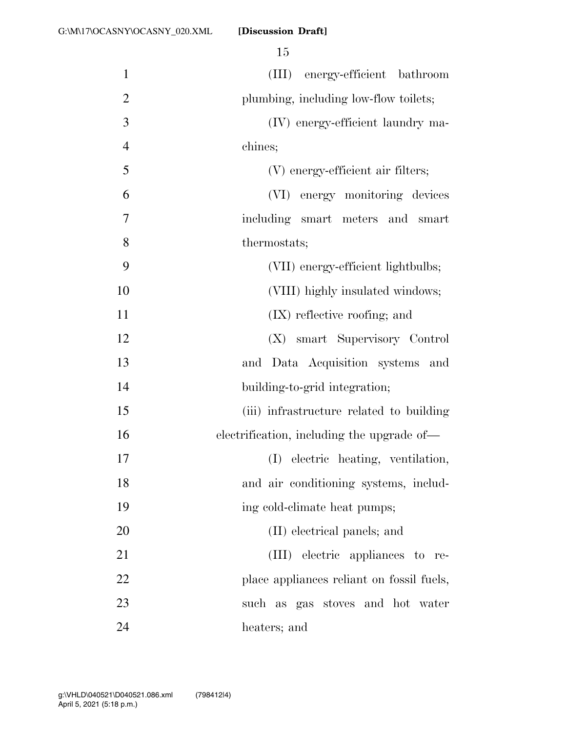| $\mathbf{1}$   | energy-efficient bathroom<br>(III)         |
|----------------|--------------------------------------------|
| $\overline{2}$ | plumbing, including low-flow toilets;      |
| 3              | (IV) energy-efficient laundry ma-          |
| $\overline{4}$ | chines;                                    |
| 5              | (V) energy-efficient air filters;          |
| 6              | (VI) energy monitoring devices             |
| 7              | including smart meters and<br>smart        |
| 8              | thermostats;                               |
| 9              | (VII) energy-efficient lightbulbs;         |
| 10             | (VIII) highly insulated windows;           |
| 11             | $(IX)$ reflective roofing; and             |
| 12             | (X) smart Supervisory Control              |
| 13             | and Data Acquisition systems and           |
| 14             | building-to-grid integration;              |
| 15             | (iii) infrastructure related to building   |
| 16             | electrification, including the upgrade of- |
| 17             | (I) electric heating, ventilation,         |
| 18             | and air conditioning systems, includ-      |
| 19             | ing cold-climate heat pumps;               |
| 20             | (II) electrical panels; and                |
| 21             | (III) electric appliances to re-           |
| 22             | place appliances reliant on fossil fuels,  |
| 23             | such as gas stoves and hot water           |
| 24             | heaters; and                               |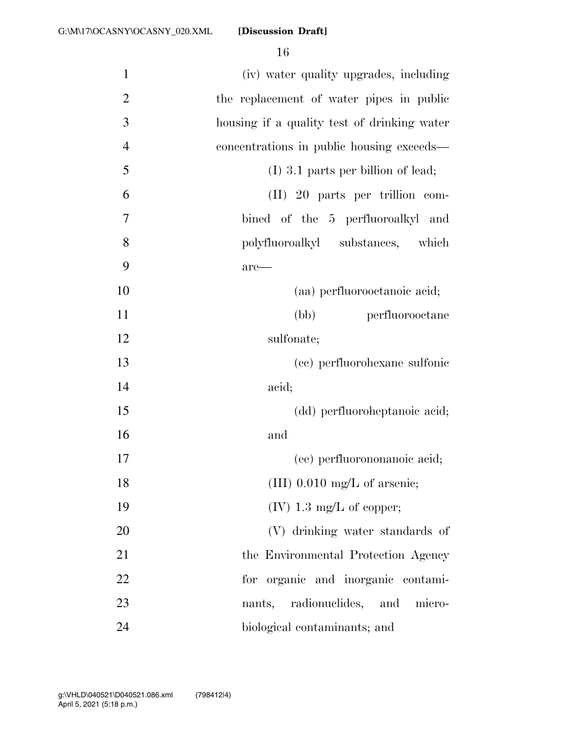| $\mathbf{1}$   | (iv) water quality upgrades, including      |
|----------------|---------------------------------------------|
| $\overline{2}$ | the replacement of water pipes in public    |
| 3              | housing if a quality test of drinking water |
| $\overline{4}$ | concentrations in public housing exceeds—   |
| 5              | $(I)$ 3.1 parts per billion of lead;        |
| 6              | (II) 20 parts per trillion com-             |
| 7              | bined of the 5 perfluoroalkyl and           |
| 8              | polyfluoroalkyl substances,<br>which        |
| 9              | are—                                        |
| 10             | (aa) perfluorooctanoic acid;                |
| 11             | (bb)<br>perfluorooctane                     |
| 12             | sulfonate;                                  |
| 13             | (cc) perfluorohexane sulfonic               |
| 14             | acid;                                       |
| 15             | (dd) perfluoroheptanoic acid;               |
| 16             | and                                         |
| 17             | (ee) perfluorononanoic acid;                |
| 18             | $(III)$ 0.010 mg/L of arsenic;              |
| 19             | $(IV)$ 1.3 mg/L of copper;                  |
| 20             | (V) drinking water standards of             |
| 21             | the Environmental Protection Agency         |
| 22             | for organic and inorganic contami-          |
| 23             | nants, radionuclides,<br>and<br>micro-      |
| 24             | biological contaminants; and                |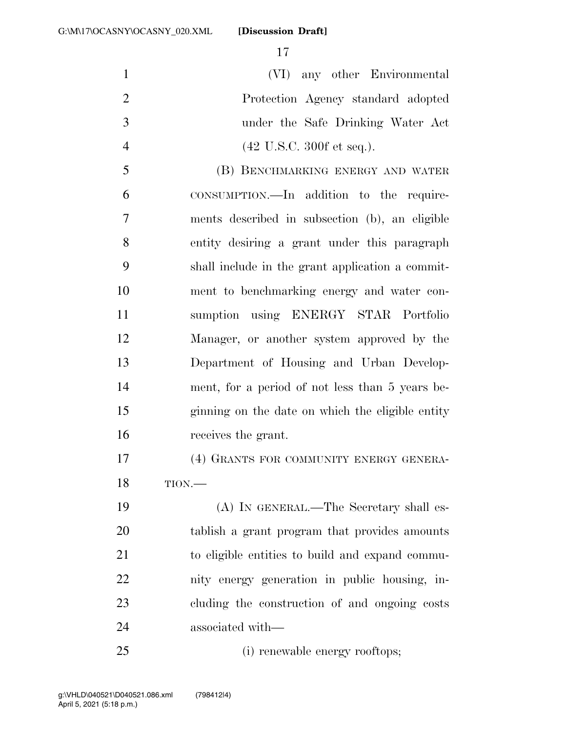(VI) any other Environmental Protection Agency standard adopted under the Safe Drinking Water Act 4 (42 U.S.C. 300f et seq.).

 (B) BENCHMARKING ENERGY AND WATER CONSUMPTION.—In addition to the require- ments described in subsection (b), an eligible entity desiring a grant under this paragraph shall include in the grant application a commit- ment to benchmarking energy and water con- sumption using ENERGY STAR Portfolio Manager, or another system approved by the Department of Housing and Urban Develop- ment, for a period of not less than 5 years be- ginning on the date on which the eligible entity receives the grant.

 (4) GRANTS FOR COMMUNITY ENERGY GENERA-TION.—

 (A) IN GENERAL.—The Secretary shall es- tablish a grant program that provides amounts to eligible entities to build and expand commu- nity energy generation in public housing, in- cluding the construction of and ongoing costs associated with—

(i) renewable energy rooftops;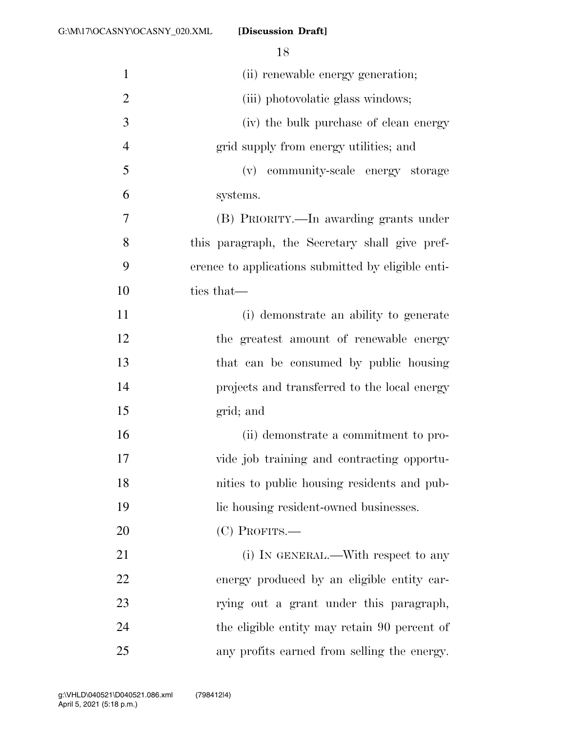| $\mathbf{1}$   | (ii) renewable energy generation;                  |
|----------------|----------------------------------------------------|
| $\overline{2}$ | (iii) photovolatic glass windows;                  |
| 3              | (iv) the bulk purchase of clean energy             |
| $\overline{4}$ | grid supply from energy utilities; and             |
| 5              | (v) community-scale energy storage                 |
| 6              | systems.                                           |
| 7              | (B) PRIORITY.—In awarding grants under             |
| 8              | this paragraph, the Secretary shall give pref-     |
| 9              | erence to applications submitted by eligible enti- |
| 10             | ties that—                                         |
| 11             | (i) demonstrate an ability to generate             |
| 12             | the greatest amount of renewable energy            |
| 13             | that can be consumed by public housing             |
| 14             | projects and transferred to the local energy       |
| 15             | grid; and                                          |
| 16             | (ii) demonstrate a commitment to pro-              |
| 17             | vide job training and contracting opportu-         |
| 18             | nities to public housing residents and pub-        |
| 19             | lic housing resident-owned businesses.             |
| 20             | (C) PROFITS.-                                      |
| 21             | (i) IN GENERAL.—With respect to any                |
| 22             | energy produced by an eligible entity car-         |
| 23             | rying out a grant under this paragraph,            |
| 24             | the eligible entity may retain 90 percent of       |
| 25             | any profits earned from selling the energy.        |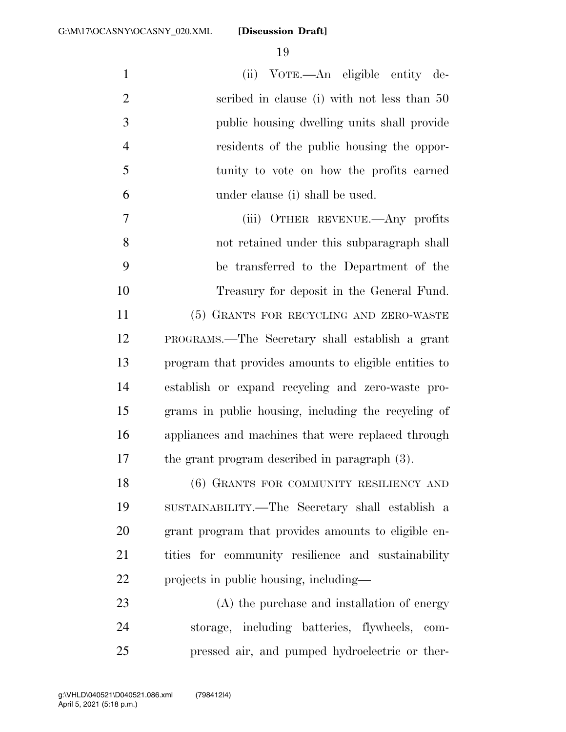(ii) VOTE.—An eligible entity de- scribed in clause (i) with not less than 50 public housing dwelling units shall provide residents of the public housing the oppor- tunity to vote on how the profits earned under clause (i) shall be used. (iii) OTHER REVENUE.—Any profits not retained under this subparagraph shall be transferred to the Department of the Treasury for deposit in the General Fund. (5) GRANTS FOR RECYCLING AND ZERO-WASTE PROGRAMS.—The Secretary shall establish a grant program that provides amounts to eligible entities to establish or expand recycling and zero-waste pro- grams in public housing, including the recycling of appliances and machines that were replaced through the grant program described in paragraph (3). 18 (6) GRANTS FOR COMMUNITY RESILIENCY AND

 SUSTAINABILITY.—The Secretary shall establish a grant program that provides amounts to eligible en- tities for community resilience and sustainability projects in public housing, including—

 (A) the purchase and installation of energy storage, including batteries, flywheels, com-pressed air, and pumped hydroelectric or ther-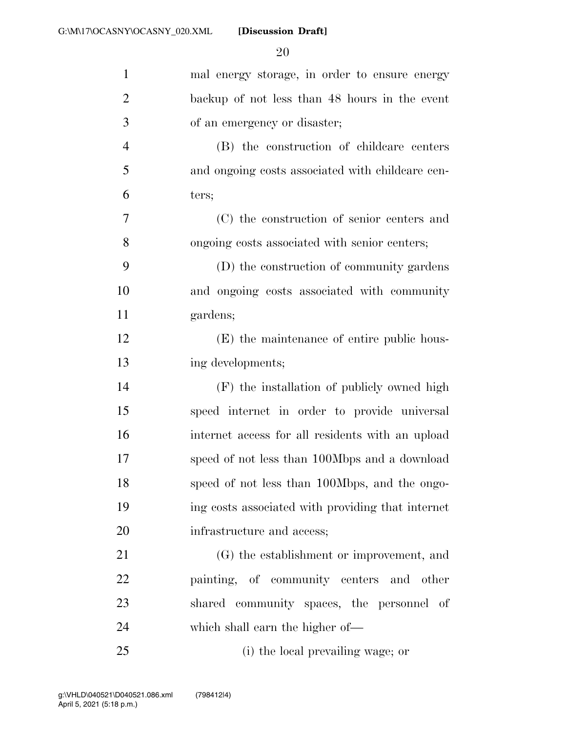| $\mathbf{1}$   | mal energy storage, in order to ensure energy     |
|----------------|---------------------------------------------------|
| $\overline{2}$ | backup of not less than 48 hours in the event     |
| 3              | of an emergency or disaster;                      |
| $\overline{4}$ | (B) the construction of childcare centers         |
| 5              | and ongoing costs associated with childcare cen-  |
| 6              | ters;                                             |
| 7              | (C) the construction of senior centers and        |
| 8              | ongoing costs associated with senior centers;     |
| 9              | (D) the construction of community gardens         |
| 10             | and ongoing costs associated with community       |
| 11             | gardens;                                          |
| 12             | (E) the maintenance of entire public hous-        |
| 13             | ing developments;                                 |
| 14             | (F) the installation of publicly owned high       |
| 15             | speed internet in order to provide universal      |
| 16             | internet access for all residents with an upload  |
| 17             | speed of not less than 100Mbps and a download     |
| 18             | speed of not less than 100Mbps, and the ongo-     |
| 19             | ing costs associated with providing that internet |
| 20             | infrastructure and access;                        |
| 21             | (G) the establishment or improvement, and         |
| 22             | painting, of community centers and other          |
| 23             | shared community spaces, the personnel of         |
| 24             | which shall earn the higher of—                   |
| 25             | (i) the local prevailing wage; or                 |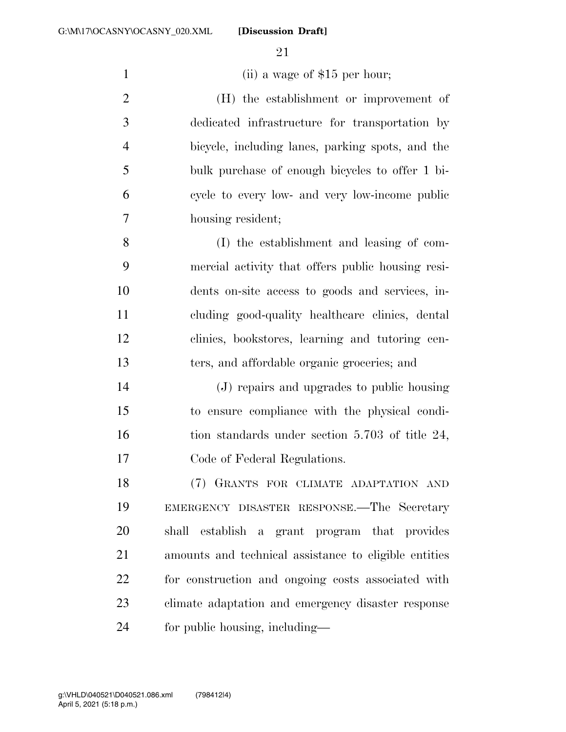1 (ii) a wage of \$15 per hour;

 (H) the establishment or improvement of dedicated infrastructure for transportation by bicycle, including lanes, parking spots, and the bulk purchase of enough bicycles to offer 1 bi- cycle to every low- and very low-income public housing resident;

 (I) the establishment and leasing of com- mercial activity that offers public housing resi- dents on-site access to goods and services, in- cluding good-quality healthcare clinics, dental clinics, bookstores, learning and tutoring cen-ters, and affordable organic groceries; and

 (J) repairs and upgrades to public housing to ensure compliance with the physical condi-16 tion standards under section 5.703 of title 24, Code of Federal Regulations.

 (7) GRANTS FOR CLIMATE ADAPTATION AND EMERGENCY DISASTER RESPONSE.—The Secretary shall establish a grant program that provides amounts and technical assistance to eligible entities for construction and ongoing costs associated with climate adaptation and emergency disaster response for public housing, including—

April 5, 2021 (5:18 p.m.) g:\VHLD\040521\D040521.086.xml (798412|4)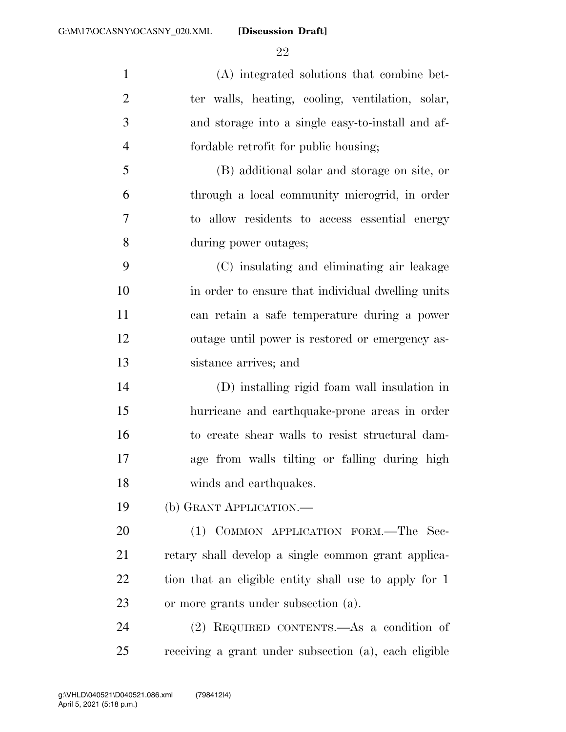(A) integrated solutions that combine bet- ter walls, heating, cooling, ventilation, solar, and storage into a single easy-to-install and af- fordable retrofit for public housing; (B) additional solar and storage on site, or through a local community microgrid, in order to allow residents to access essential energy during power outages; (C) insulating and eliminating air leakage in order to ensure that individual dwelling units can retain a safe temperature during a power outage until power is restored or emergency as- sistance arrives; and (D) installing rigid foam wall insulation in hurricane and earthquake-prone areas in order to create shear walls to resist structural dam- age from walls tilting or falling during high winds and earthquakes. (b) GRANT APPLICATION.— 20 (1) COMMON APPLICATION FORM.—The Sec-

 retary shall develop a single common grant applica-22 tion that an eligible entity shall use to apply for 1 or more grants under subsection (a).

 (2) REQUIRED CONTENTS.—As a condition of receiving a grant under subsection (a), each eligible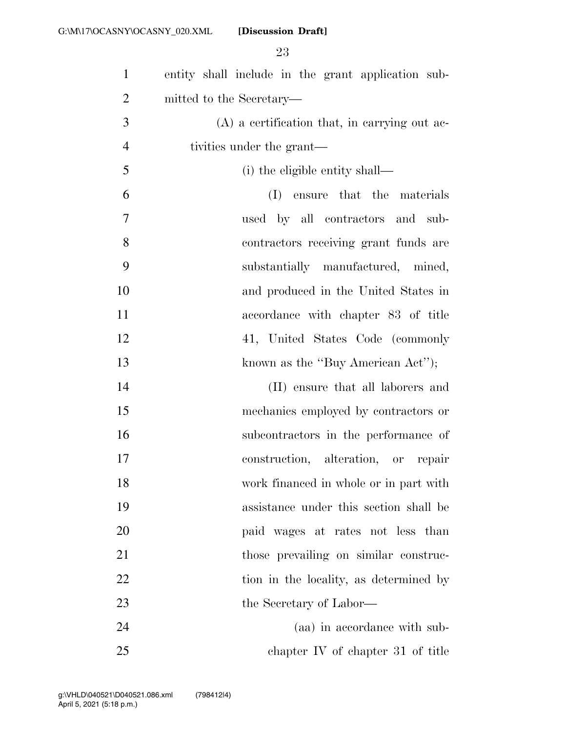| $\mathbf{1}$   | entity shall include in the grant application sub- |
|----------------|----------------------------------------------------|
| $\overline{2}$ | mitted to the Secretary—                           |
| 3              | $(A)$ a certification that, in carrying out ac-    |
| $\overline{4}$ | tivities under the grant—                          |
| 5              | (i) the eligible entity shall—                     |
| 6              | ensure that the materials<br>(I)                   |
| $\tau$         | used by all contractors and sub-                   |
| 8              | contractors receiving grant funds are              |
| 9              | substantially manufactured, mined,                 |
| 10             | and produced in the United States in               |
| 11             | accordance with chapter 83 of title                |
| 12             | 41, United States Code (commonly                   |
| 13             | known as the "Buy American Act");                  |
| 14             | (II) ensure that all laborers and                  |
| 15             | mechanics employed by contractors or               |
| 16             | subcontractors in the performance of               |
| 17             | construction, alteration, or repair                |
| 18             | work financed in whole or in part with             |
| 19             | assistance under this section shall be             |
| 20             | paid wages at rates not less than                  |
| 21             | those prevailing on similar construc-              |
| 22             | tion in the locality, as determined by             |
| 23             | the Secretary of Labor—                            |
| 24             | (aa) in accordance with sub-                       |
| 25             | chapter IV of chapter 31 of title                  |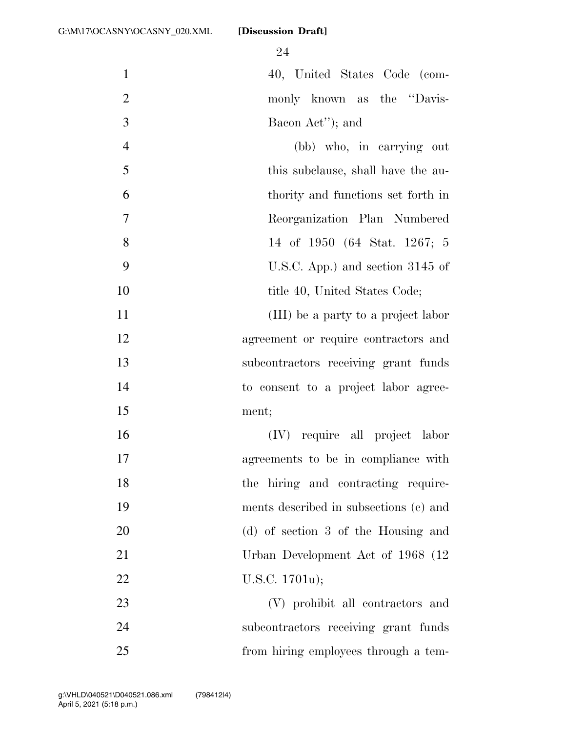| $\mathbf{1}$   | 40, United States Code (com-           |
|----------------|----------------------------------------|
| $\mathfrak{2}$ | monly known as the "Davis-             |
| 3              | Bacon Act"); and                       |
| $\overline{4}$ | (bb) who, in carrying out              |
| 5              | this subclause, shall have the au-     |
| 6              | thority and functions set forth in     |
| 7              | Reorganization Plan Numbered           |
| 8              | 14 of 1950 (64 Stat. 1267; 5           |
| 9              | U.S.C. App.) and section 3145 of       |
| 10             | title 40, United States Code;          |
| 11             | (III) be a party to a project labor    |
| 12             | agreement or require contractors and   |
| 13             | subcontractors receiving grant funds   |
| 14             | to consent to a project labor agree-   |
| 15             | ment;                                  |
| 16             | (IV) require all project labor         |
| 17             | agreements to be in compliance with    |
| 18             | the hiring and contracting require-    |
| 19             | ments described in subsections (c) and |
| 20             | (d) of section 3 of the Housing and    |
| 21             | Urban Development Act of 1968 (12)     |
| 22             | U.S.C. 1701u);                         |
| 23             | (V) prohibit all contractors and       |
| 24             | subcontractors receiving grant funds   |
| 25             | from hiring employees through a tem-   |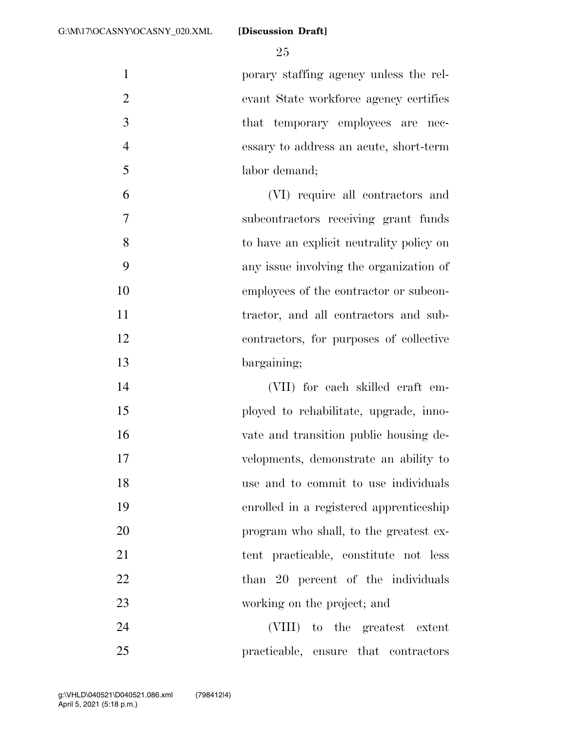porary staffing agency unless the rel- evant State workforce agency certifies 3 that temporary employees are nec- essary to address an acute, short-term labor demand;

 (VI) require all contractors and subcontractors receiving grant funds to have an explicit neutrality policy on any issue involving the organization of employees of the contractor or subcon- tractor, and all contractors and sub- contractors, for purposes of collective bargaining;

 (VII) for each skilled craft em- ployed to rehabilitate, upgrade, inno- vate and transition public housing de- velopments, demonstrate an ability to use and to commit to use individuals enrolled in a registered apprenticeship 20 program who shall, to the greatest ex- tent practicable, constitute not less 22 than 20 percent of the individuals working on the project; and

 (VIII) to the greatest extent practicable, ensure that contractors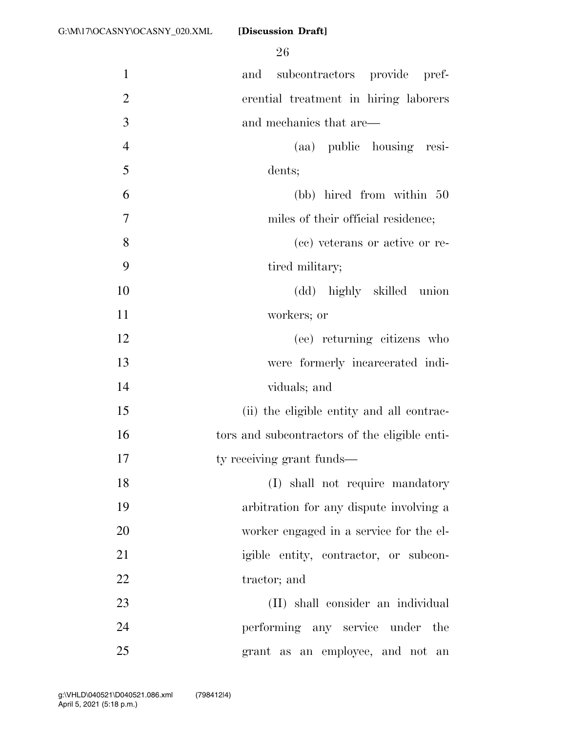| $\mathbf{1}$   | and subcontractors provide pref-              |
|----------------|-----------------------------------------------|
| $\overline{2}$ | erential treatment in hiring laborers         |
| 3              | and mechanics that are—                       |
| $\overline{4}$ | (aa) public housing resi-                     |
| 5              | dents;                                        |
| 6              | (bb) hired from within 50                     |
| 7              | miles of their official residence;            |
| 8              | (cc) veterans or active or re-                |
| 9              | tired military;                               |
| 10             | (dd) highly skilled union                     |
| 11             | workers; or                                   |
| 12             | (ee) returning citizens who                   |
| 13             | were formerly incarcerated indi-              |
| 14             | viduals; and                                  |
| 15             | (ii) the eligible entity and all contrac-     |
| 16             | tors and subcontractors of the eligible enti- |
| 17             | ty receiving grant funds—                     |
| 18             | (I) shall not require mandatory               |
| 19             | arbitration for any dispute involving a       |
| 20             | worker engaged in a service for the el-       |
| 21             | igible entity, contractor, or subcon-         |
| 22             | tractor; and                                  |
| 23             | (II) shall consider an individual             |
| 24             | performing any service under the              |
| 25             | grant as an employee, and not an              |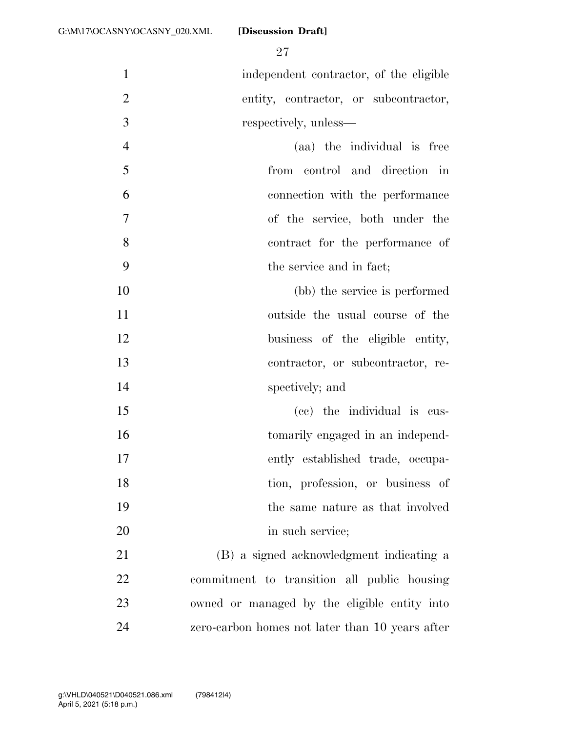independent contractor, of the eligible entity, contractor, or subcontractor, respectively, unless—

 (aa) the individual is free from control and direction in connection with the performance of the service, both under the contract for the performance of the service and in fact;

 (bb) the service is performed outside the usual course of the 12 business of the eligible entity, contractor, or subcontractor, re-spectively; and

 (cc) the individual is cus-16 tomarily engaged in an independ- ently established trade, occupa-18 tion, profession, or business of the same nature as that involved 20 in such service;

 (B) a signed acknowledgment indicating a commitment to transition all public housing owned or managed by the eligible entity into zero-carbon homes not later than 10 years after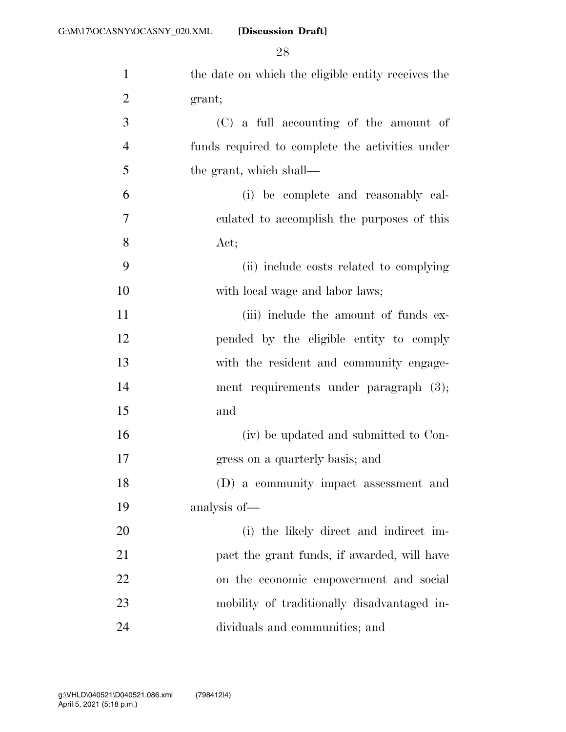| $\mathbf{1}$   | the date on which the eligible entity receives the |
|----------------|----------------------------------------------------|
| $\overline{2}$ | grant;                                             |
| 3              | (C) a full accounting of the amount of             |
| $\overline{4}$ | funds required to complete the activities under    |
| 5              | the grant, which shall—                            |
| 6              | (i) be complete and reasonably cal-                |
| 7              | culated to accomplish the purposes of this         |
| 8              | Act;                                               |
| 9              | (ii) include costs related to complying            |
| 10             | with local wage and labor laws;                    |
| 11             | (iii) include the amount of funds ex-              |
| 12             | pended by the eligible entity to comply            |
| 13             | with the resident and community engage-            |
| 14             | ment requirements under paragraph (3);             |
| 15             | and                                                |
| 16             | (iv) be updated and submitted to Con-              |
| 17             | gress on a quarterly basis; and                    |
| 18             | (D) a community impact assessment and              |
| 19             | analysis of—                                       |
| 20             | (i) the likely direct and indirect im-             |
| 21             | pact the grant funds, if awarded, will have        |
| 22             | on the economic empowerment and social             |
| 23             | mobility of traditionally disadvantaged in-        |
| 24             | dividuals and communities; and                     |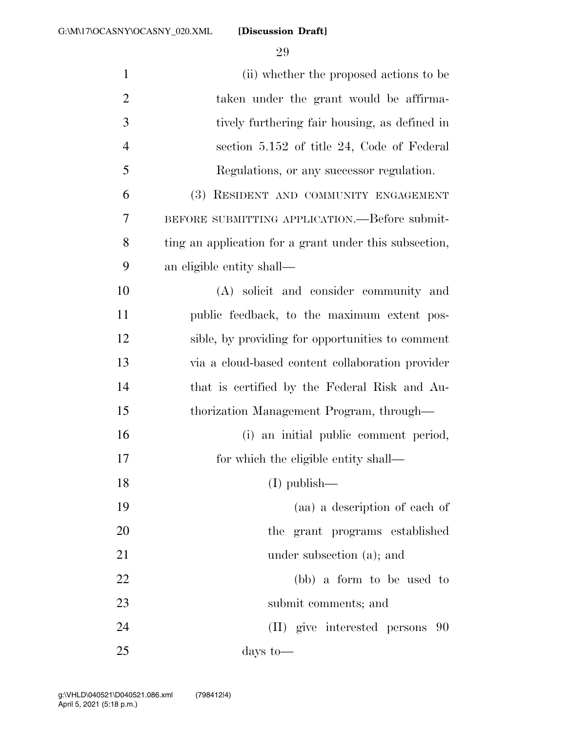| $\mathbf{1}$   | (ii) whether the proposed actions to be                |
|----------------|--------------------------------------------------------|
| $\overline{2}$ | taken under the grant would be affirma-                |
| 3              | tively furthering fair housing, as defined in          |
| $\overline{4}$ | section 5.152 of title 24, Code of Federal             |
| 5              | Regulations, or any successor regulation.              |
| 6              | (3) RESIDENT AND COMMUNITY ENGAGEMENT                  |
| 7              | BEFORE SUBMITTING APPLICATION.—Before submit-          |
| 8              | ting an application for a grant under this subsection, |
| 9              | an eligible entity shall—                              |
| 10             | (A) solicit and consider community and                 |
| 11             | public feedback, to the maximum extent pos-            |
| 12             | sible, by providing for opportunities to comment       |
| 13             | via a cloud-based content collaboration provider       |
| 14             | that is certified by the Federal Risk and Au-          |
| 15             | thorization Management Program, through-               |
| 16             | (i) an initial public comment period,                  |
| 17             | for which the eligible entity shall—                   |
| 18             | $(I)$ publish—                                         |
| 19             | (aa) a description of each of                          |
| 20             | the grant programs established                         |
| 21             | under subsection (a); and                              |
| 22             | (bb) a form to be used to                              |
| 23             | submit comments; and                                   |
| 24             | (II) give interested persons<br>-90                    |
| 25             | days to $-$                                            |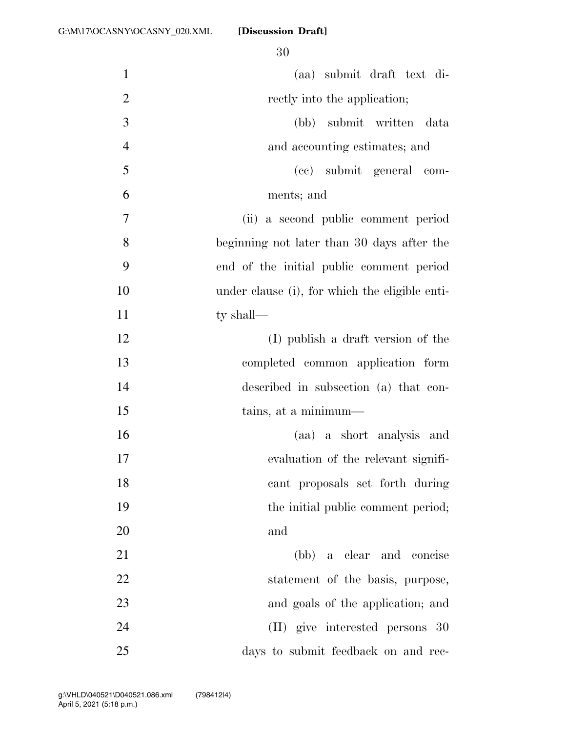| $\mathbf{1}$   | (aa) submit draft text di-                     |
|----------------|------------------------------------------------|
| $\overline{2}$ | rectly into the application;                   |
| 3              | (bb) submit written data                       |
| $\overline{4}$ | and accounting estimates; and                  |
| 5              | (cc) submit general com-                       |
| 6              | ments; and                                     |
| $\overline{7}$ | (ii) a second public comment period            |
| 8              | beginning not later than 30 days after the     |
| 9              | end of the initial public comment period       |
| 10             | under clause (i), for which the eligible enti- |
| 11             | ty shall—                                      |
| 12             | (I) publish a draft version of the             |
| 13             | completed common application form              |
| 14             | described in subsection (a) that con-          |
| 15             | tains, at a minimum—                           |
| 16             | (aa) a short analysis and                      |
| 17             | evaluation of the relevant signifi-            |
| 18             | cant proposals set forth during                |
| 19             | the initial public comment period;             |
| 20             | and                                            |
| 21             | (bb) a clear and concise                       |
| 22             | statement of the basis, purpose,               |
| 23             | and goals of the application; and              |
| 24             | (II) give interested persons 30                |
| 25             | days to submit feedback on and rec-            |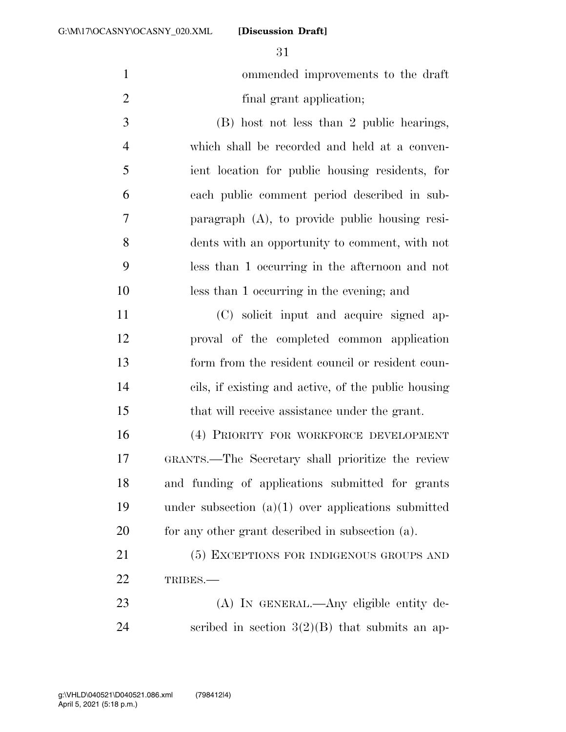|               | ommended improvements to the draft        |
|---------------|-------------------------------------------|
|               | final grant application;                  |
| $\mathcal{R}$ | (B) host not less than 2 public hearings, |

 which shall be recorded and held at a conven- ient location for public housing residents, for each public comment period described in sub- paragraph (A), to provide public housing resi- dents with an opportunity to comment, with not less than 1 occurring in the afternoon and not less than 1 occurring in the evening; and

 (C) solicit input and acquire signed ap- proval of the completed common application form from the resident council or resident coun- cils, if existing and active, of the public housing that will receive assistance under the grant.

 (4) PRIORITY FOR WORKFORCE DEVELOPMENT GRANTS.—The Secretary shall prioritize the review and funding of applications submitted for grants under subsection (a)(1) over applications submitted for any other grant described in subsection (a).

21 (5) EXCEPTIONS FOR INDIGENOUS GROUPS AND TRIBES.—

 (A) IN GENERAL.—Any eligible entity de-24 seribed in section  $3(2)(B)$  that submits an ap-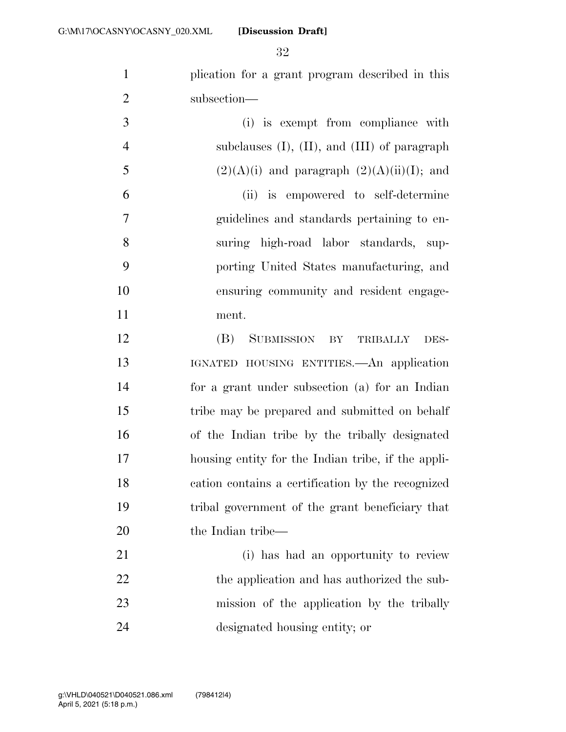plication for a grant program described in this subsection—

 (i) is exempt from compliance with subclauses (I), (II), and (III) of paragraph 5 (2)(A)(i) and paragraph  $(2)(A)(ii)(I)$ ; and (ii) is empowered to self-determine guidelines and standards pertaining to en- suring high-road labor standards, sup- porting United States manufacturing, and ensuring community and resident engage-ment.

 (B) SUBMISSION BY TRIBALLY DES- IGNATED HOUSING ENTITIES.—An application for a grant under subsection (a) for an Indian tribe may be prepared and submitted on behalf of the Indian tribe by the tribally designated housing entity for the Indian tribe, if the appli- cation contains a certification by the recognized tribal government of the grant beneficiary that 20 the Indian tribe—

 (i) has had an opportunity to review 22 the application and has authorized the sub- mission of the application by the tribally designated housing entity; or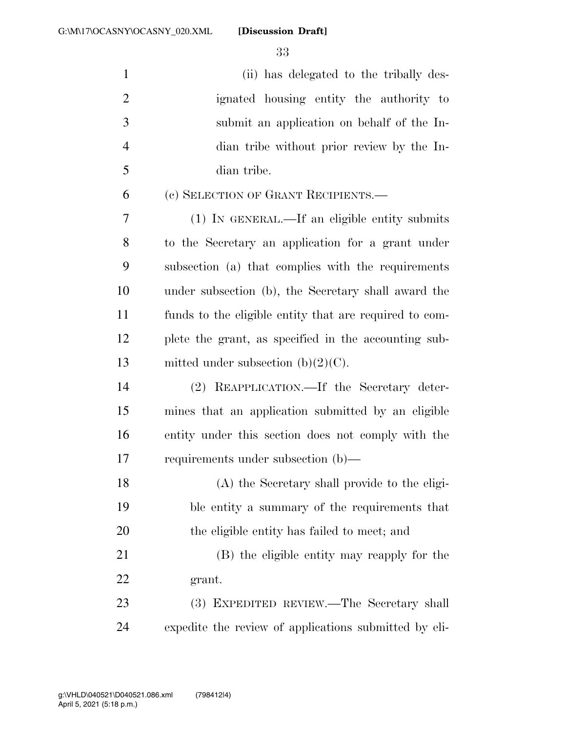(ii) has delegated to the tribally des- ignated housing entity the authority to submit an application on behalf of the In- dian tribe without prior review by the In- dian tribe. (c) SELECTION OF GRANT RECIPIENTS.— (1) IN GENERAL.—If an eligible entity submits to the Secretary an application for a grant under subsection (a) that complies with the requirements under subsection (b), the Secretary shall award the funds to the eligible entity that are required to com- plete the grant, as specified in the accounting sub-13 mitted under subsection  $(b)(2)(C)$ . (2) REAPPLICATION.—If the Secretary deter- mines that an application submitted by an eligible entity under this section does not comply with the requirements under subsection (b)— (A) the Secretary shall provide to the eligi- ble entity a summary of the requirements that the eligible entity has failed to meet; and (B) the eligible entity may reapply for the grant. (3) EXPEDITED REVIEW.—The Secretary shall

expedite the review of applications submitted by eli-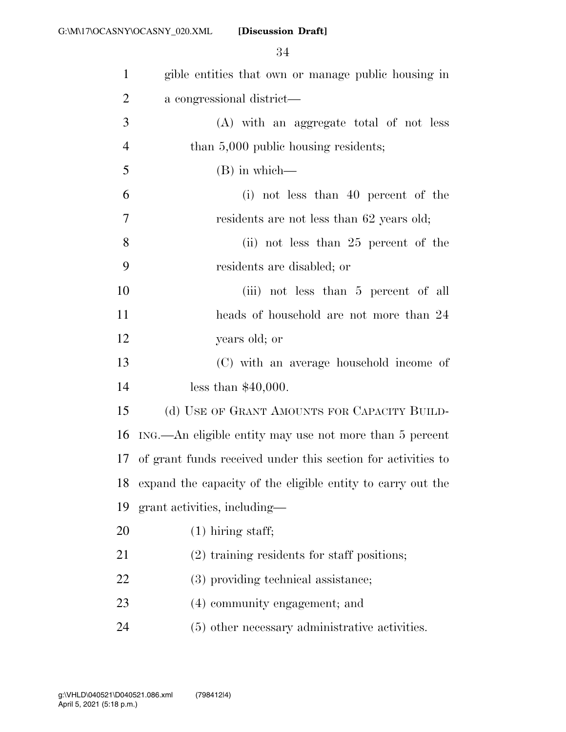| $\mathbf{1}$   | gible entities that own or manage public housing in             |
|----------------|-----------------------------------------------------------------|
| $\overline{2}$ | a congressional district—                                       |
| 3              | (A) with an aggregate total of not less                         |
| $\overline{4}$ | than 5,000 public housing residents;                            |
| 5              | $(B)$ in which—                                                 |
| 6              | (i) not less than 40 percent of the                             |
| $\tau$         | residents are not less than 62 years old;                       |
| 8              | (ii) not less than $25$ percent of the                          |
| 9              | residents are disabled; or                                      |
| 10             | (iii) not less than 5 percent of all                            |
| 11             | heads of household are not more than 24                         |
| 12             | years old; or                                                   |
| 13             | (C) with an average household income of                         |
| 14             | less than $$40,000$ .                                           |
| 15             | (d) USE OF GRANT AMOUNTS FOR CAPACITY BUILD-                    |
| 16             | ING.—An eligible entity may use not more than 5 percent         |
|                | 17 of grant funds received under this section for activities to |
|                | 18 expand the capacity of the eligible entity to carry out the  |
| 19             | grant activities, including—                                    |
| 20             | $(1)$ hiring staff;                                             |
| 21             | (2) training residents for staff positions;                     |
| 22             | (3) providing technical assistance;                             |
| 23             | (4) community engagement; and                                   |
| 24             | (5) other necessary administrative activities.                  |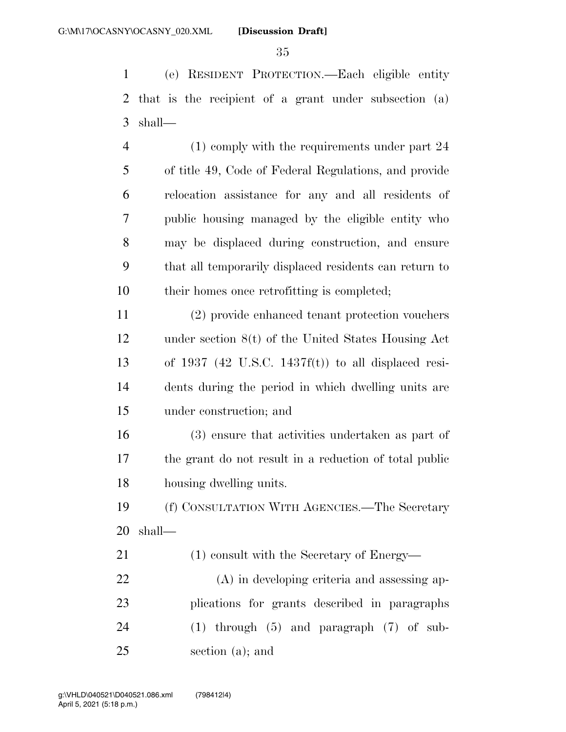(e) RESIDENT PROTECTION.—Each eligible entity that is the recipient of a grant under subsection (a) shall—

 (1) comply with the requirements under part 24 of title 49, Code of Federal Regulations, and provide relocation assistance for any and all residents of public housing managed by the eligible entity who may be displaced during construction, and ensure that all temporarily displaced residents can return to their homes once retrofitting is completed;

 (2) provide enhanced tenant protection vouchers under section 8(t) of the United States Housing Act of 1937 (42 U.S.C. 1437f(t)) to all displaced resi- dents during the period in which dwelling units are under construction; and

 (3) ensure that activities undertaken as part of the grant do not result in a reduction of total public housing dwelling units.

 (f) CONSULTATION WITH AGENCIES.—The Secretary shall—

21 (1) consult with the Secretary of Energy—

 (A) in developing criteria and assessing ap- plications for grants described in paragraphs (1) through (5) and paragraph (7) of sub-section (a); and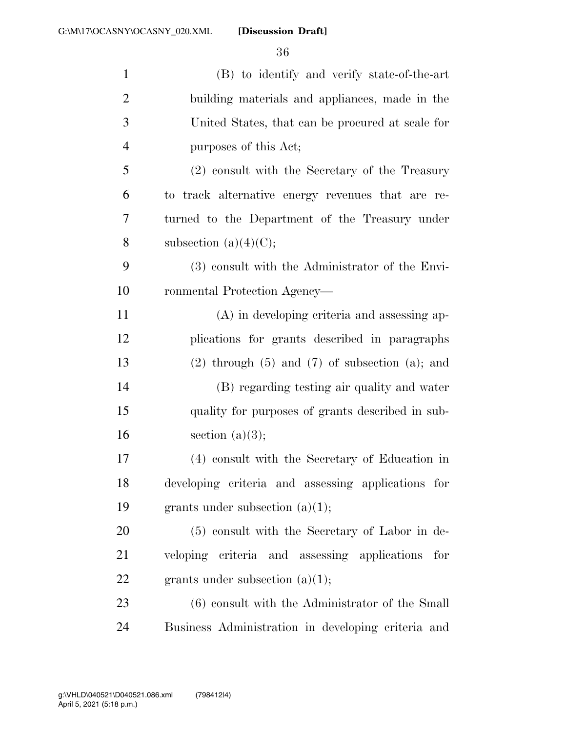| $\mathbf{1}$   | (B) to identify and verify state-of-the-art             |
|----------------|---------------------------------------------------------|
| $\overline{2}$ | building materials and appliances, made in the          |
| 3              | United States, that can be procured at scale for        |
| $\overline{4}$ | purposes of this Act;                                   |
| 5              | (2) consult with the Secretary of the Treasury          |
| 6              | to track alternative energy revenues that are re-       |
| 7              | turned to the Department of the Treasury under          |
| 8              | subsection $(a)(4)(C);$                                 |
| 9              | (3) consult with the Administrator of the Envi-         |
| 10             | ronmental Protection Agency—                            |
| 11             | (A) in developing criteria and assessing ap-            |
| 12             | plications for grants described in paragraphs           |
| 13             | $(2)$ through $(5)$ and $(7)$ of subsection $(a)$ ; and |
| 14             | (B) regarding testing air quality and water             |
| 15             | quality for purposes of grants described in sub-        |
| 16             | section $(a)(3);$                                       |
| 17             | (4) consult with the Secretary of Education in          |
| 18             | developing criteria and assessing applications for      |
| 19             | grants under subsection $(a)(1);$                       |
| 20             | (5) consult with the Secretary of Labor in de-          |
| 21             | veloping criteria and assessing applications for        |
| <u>22</u>      | grants under subsection $(a)(1);$                       |
| 23             | $(6)$ consult with the Administrator of the Small       |
| 24             | Business Administration in developing criteria and      |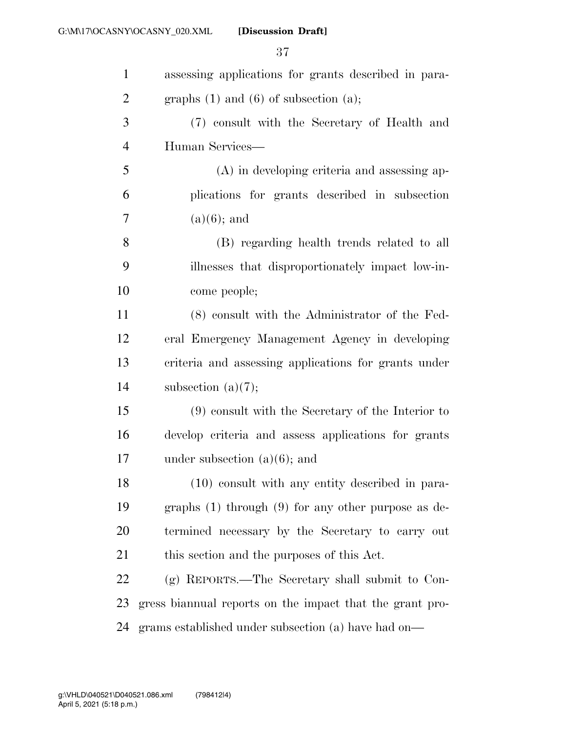| $\mathbf{1}$   | assessing applications for grants described in para-     |
|----------------|----------------------------------------------------------|
| $\overline{2}$ | graphs $(1)$ and $(6)$ of subsection $(a)$ ;             |
| 3              | (7) consult with the Secretary of Health and             |
| $\overline{4}$ | Human Services—                                          |
| 5              | $(A)$ in developing criteria and assessing ap-           |
| 6              | plications for grants described in subsection            |
| 7              | $(a)(6)$ ; and                                           |
| 8              | (B) regarding health trends related to all               |
| 9              | illnesses that disproportionately impact low-in-         |
| 10             | come people;                                             |
| 11             | (8) consult with the Administrator of the Fed-           |
| 12             | eral Emergency Management Agency in developing           |
| 13             | criteria and assessing applications for grants under     |
| 14             | subsection $(a)(7);$                                     |
| 15             | $(9)$ consult with the Secretary of the Interior to      |
| 16             | develop criteria and assess applications for grants      |
| 17             | under subsection $(a)(6)$ ; and                          |
| 18             | (10) consult with any entity described in para-          |
| 19             | graphs $(1)$ through $(9)$ for any other purpose as de-  |
| 20             | termined necessary by the Secretary to carry out         |
| 21             | this section and the purposes of this Act.               |
| 22             | (g) REPORTS.—The Secretary shall submit to Con-          |
| 23             | gress biannual reports on the impact that the grant pro- |
| 24             | grams established under subsection (a) have had on—      |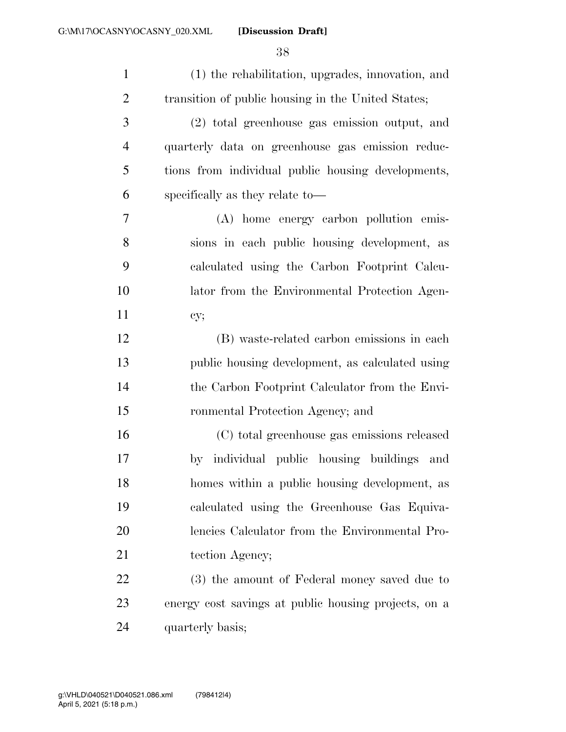| $\mathbf{1}$   | (1) the rehabilitation, upgrades, innovation, and    |
|----------------|------------------------------------------------------|
| $\overline{2}$ | transition of public housing in the United States;   |
| 3              | (2) total greenhouse gas emission output, and        |
| $\overline{4}$ | quarterly data on greenhouse gas emission reduc-     |
| 5              | tions from individual public housing developments,   |
| 6              | specifically as they relate to—                      |
| $\overline{7}$ | (A) home energy carbon pollution emis-               |
| 8              | sions in each public housing development, as         |
| 9              | calculated using the Carbon Footprint Calcu-         |
| 10             | lator from the Environmental Protection Agen-        |
| 11             | cy;                                                  |
| 12             | (B) waste-related carbon emissions in each           |
| 13             | public housing development, as calculated using      |
| 14             | the Carbon Footprint Calculator from the Envi-       |
| 15             | ronmental Protection Agency; and                     |
| 16             | (C) total greenhouse gas emissions released          |
| 17             | individual public housing buildings<br>and<br>by     |
| 18             | homes within a public housing development, as        |
| 19             | calculated using the Greenhouse Gas Equiva-          |
| 20             | lencies Calculator from the Environmental Pro-       |
| 21             | tection Agency;                                      |
| 22             | (3) the amount of Federal money saved due to         |
| 23             | energy cost savings at public housing projects, on a |
| 24             | quarterly basis;                                     |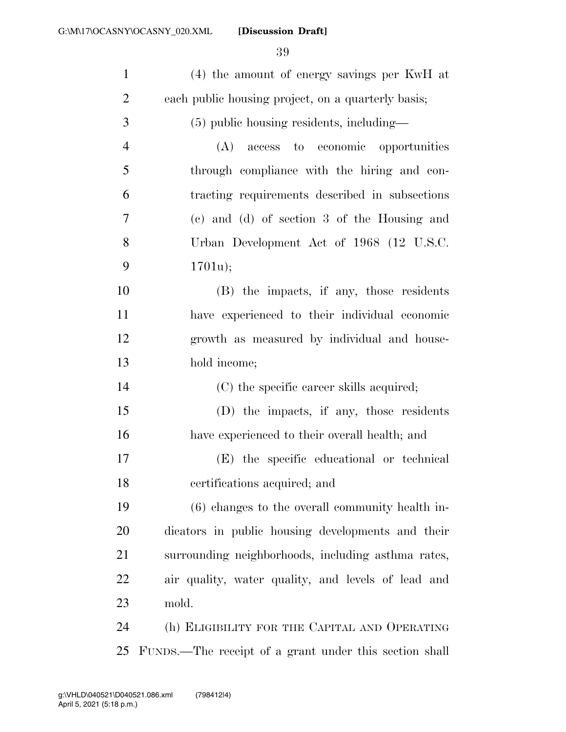| $\mathbf{1}$   | (4) the amount of energy savings per KwH at            |
|----------------|--------------------------------------------------------|
| $\overline{2}$ | each public housing project, on a quarterly basis;     |
| 3              | (5) public housing residents, including—               |
| $\overline{4}$ | access to economic opportunities<br>(A)                |
| 5              | through compliance with the hiring and con-            |
| 6              | tracting requirements described in subsections         |
| 7              | (c) and (d) of section 3 of the Housing and            |
| 8              | Urban Development Act of 1968 (12 U.S.C.               |
| 9              | 1701u);                                                |
| 10             | (B) the impacts, if any, those residents               |
| 11             | have experienced to their individual economic          |
| 12             | growth as measured by individual and house-            |
| 13             | hold income;                                           |
| 14             | (C) the specific career skills acquired;               |
| 15             | (D) the impacts, if any, those residents               |
| 16             | have experienced to their overall health; and          |
| 17             | (E) the specific educational or technical              |
| 18             | certifications acquired; and                           |
| 19             | $(6)$ changes to the overall community health in-      |
| 20             | dicators in public housing developments and their      |
| 21             | surrounding neighborhoods, including asthma rates,     |
| <u>22</u>      | air quality, water quality, and levels of lead and     |
| 23             | mold.                                                  |
| 24             | (h) ELIGIBILITY FOR THE CAPITAL AND OPERATING          |
| 25             | FUNDS.—The receipt of a grant under this section shall |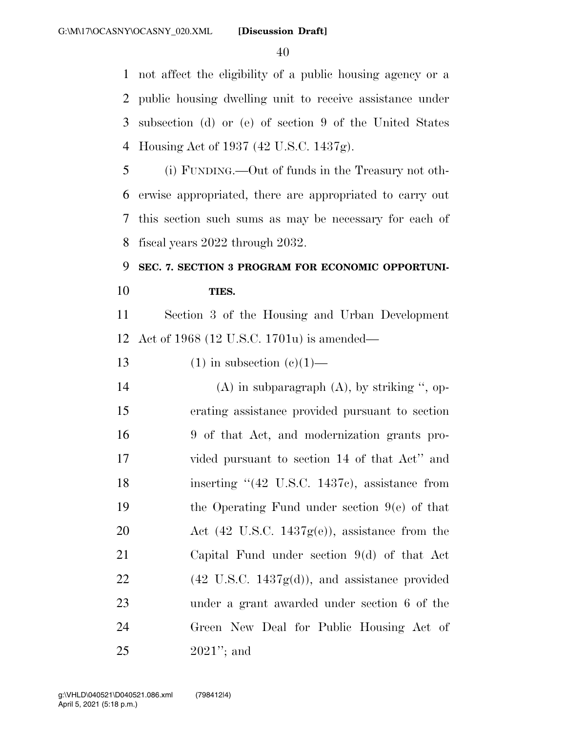not affect the eligibility of a public housing agency or a public housing dwelling unit to receive assistance under subsection (d) or (e) of section 9 of the United States Housing Act of 1937 (42 U.S.C. 1437g).

 (i) FUNDING.—Out of funds in the Treasury not oth- erwise appropriated, there are appropriated to carry out this section such sums as may be necessary for each of fiscal years 2022 through 2032.

# **SEC. 7. SECTION 3 PROGRAM FOR ECONOMIC OPPORTUNI-TIES.**

 Section 3 of the Housing and Urban Development Act of 1968 (12 U.S.C. 1701u) is amended—

13 (1) in subsection  $(c)(1)$ —

14 (A) in subparagraph  $(A)$ , by striking  $\degree$ , op- erating assistance provided pursuant to section 9 of that Act, and modernization grants pro- vided pursuant to section 14 of that Act'' and 18 inserting "(42 U.S.C. 1437c), assistance from the Operating Fund under section 9(e) of that 20 Act (42 U.S.C.  $1437g(e)$ ), assistance from the Capital Fund under section 9(d) of that Act  $(42 \text{ U.S.C. } 1437\text{g(d)})$ , and assistance provided under a grant awarded under section 6 of the Green New Deal for Public Housing Act of 2021''; and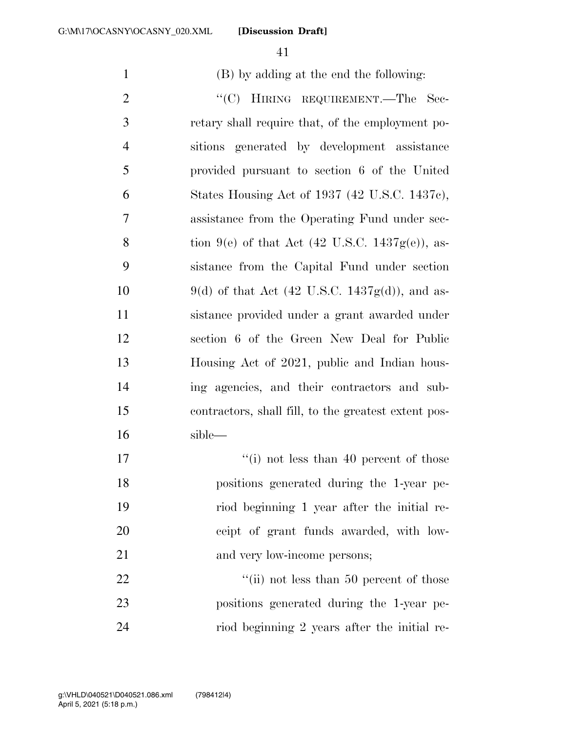(B) by adding at the end the following:

2 "'(C) HIRING REQUIREMENT.—The Sec- retary shall require that, of the employment po- sitions generated by development assistance provided pursuant to section 6 of the United States Housing Act of 1937 (42 U.S.C. 1437c), assistance from the Operating Fund under sec-8 tion 9(e) of that Act  $(42 \text{ U.S.C. } 1437\text{g}(e))$ , as- sistance from the Capital Fund under section 10 9(d) of that Act  $(42 \text{ U.S.C. } 1437\text{g(d)})$ , and as- sistance provided under a grant awarded under section 6 of the Green New Deal for Public Housing Act of 2021, public and Indian hous- ing agencies, and their contractors and sub- contractors, shall fill, to the greatest extent pos-sible—

17 ''(i) not less than 40 percent of those positions generated during the 1-year pe- riod beginning 1 year after the initial re- ceipt of grant funds awarded, with low-21 and very low-income persons;

22 ''(ii) not less than 50 percent of those positions generated during the 1-year pe-riod beginning 2 years after the initial re-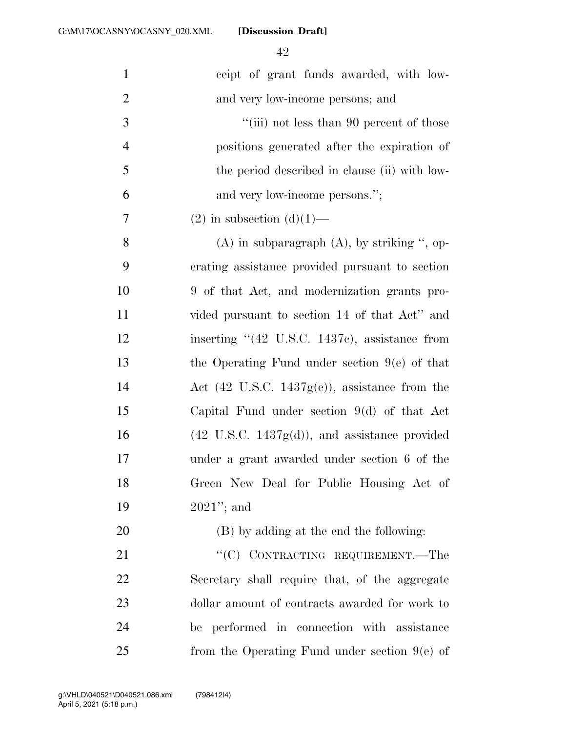| $\mathbf{1}$   | ceipt of grant funds awarded, with low-                          |
|----------------|------------------------------------------------------------------|
| $\overline{2}$ | and very low-income persons; and                                 |
| 3              | "(iii) not less than 90 percent of those                         |
| $\overline{4}$ | positions generated after the expiration of                      |
| 5              | the period described in clause (ii) with low-                    |
| 6              | and very low-income persons.";                                   |
| 7              | $(2)$ in subsection $(d)(1)$ —                                   |
| 8              | $(A)$ in subparagraph $(A)$ , by striking ", op-                 |
| 9              | erating assistance provided pursuant to section                  |
| 10             | 9 of that Act, and modernization grants pro-                     |
| 11             | vided pursuant to section 14 of that Act" and                    |
| 12             | inserting $(42 \text{ U.S.C. } 1437c)$ , assistance from         |
| 13             | the Operating Fund under section $9(e)$ of that                  |
| 14             | Act $(42 \text{ U.S.C. } 1437\text{g}(e))$ , assistance from the |
| 15             | Capital Fund under section $9(d)$ of that Act                    |
| 16             | $(42 \text{ U.S.C. } 1437\text{g(d)}),$ and assistance provided  |
| 17             | under a grant awarded under section 6 of the                     |
| 18             | Green New Deal for Public Housing Act of                         |
| 19             | $2021$ "; and                                                    |
| 20             | (B) by adding at the end the following:                          |
| 21             | "(C) CONTRACTING REQUIREMENT.—The                                |
| 22             | Secretary shall require that, of the aggregate                   |
| 23             | dollar amount of contracts awarded for work to                   |
| 24             | be performed in connection with assistance                       |
| 25             | from the Operating Fund under section $9(e)$ of                  |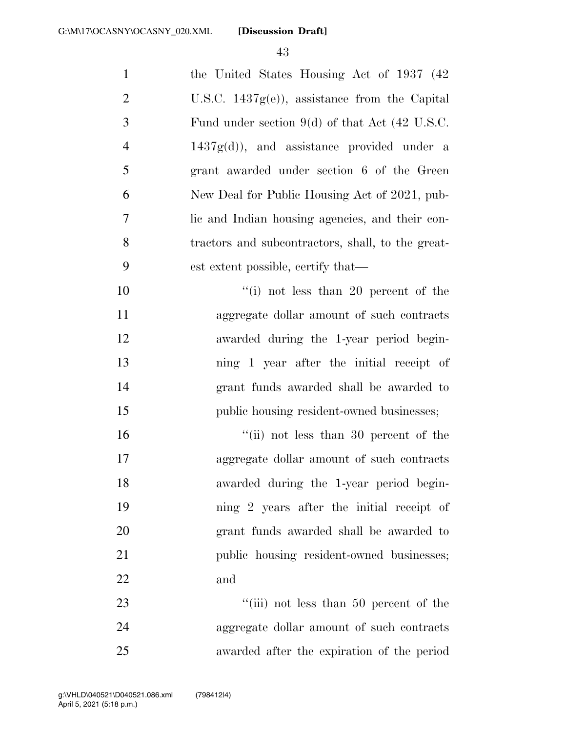1 the United States Housing Act of 1937 (42) U.S.C. 1437g(e)), assistance from the Capital Fund under section 9(d) of that Act (42 U.S.C.  $4 \qquad \qquad 1437g(d)$ , and assistance provided under a grant awarded under section 6 of the Green New Deal for Public Housing Act of 2021, pub- lic and Indian housing agencies, and their con- tractors and subcontractors, shall, to the great- est extent possible, certify that—  $\frac{10}{10}$  not less than 20 percent of the aggregate dollar amount of such contracts

 awarded during the 1-year period begin- ning 1 year after the initial receipt of grant funds awarded shall be awarded to public housing resident-owned businesses;

16 ''(ii) not less than 30 percent of the aggregate dollar amount of such contracts awarded during the 1-year period begin- ning 2 years after the initial receipt of grant funds awarded shall be awarded to 21 public housing resident-owned businesses; and

23 ''(iii) not less than 50 percent of the aggregate dollar amount of such contracts awarded after the expiration of the period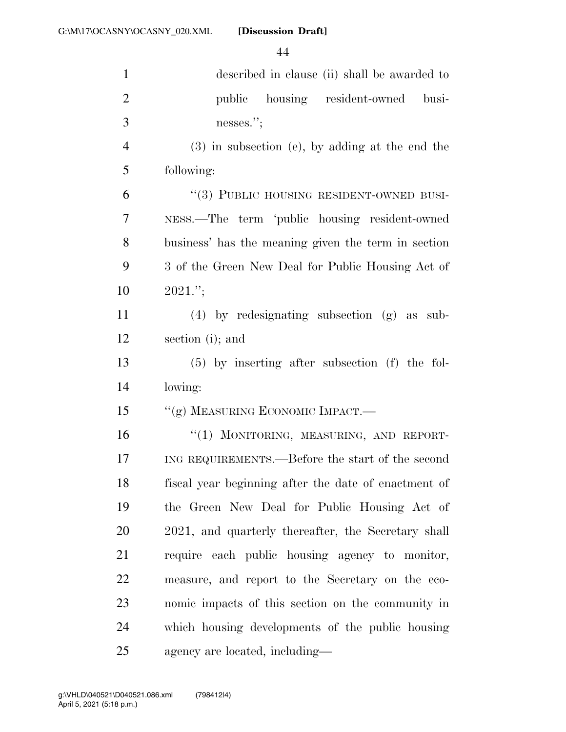| $\mathbf{1}$   | described in clause (ii) shall be awarded to         |
|----------------|------------------------------------------------------|
| $\overline{2}$ | public housing resident-owned<br>busi-               |
| 3              | nesses.";                                            |
| $\overline{4}$ | $(3)$ in subsection (e), by adding at the end the    |
| 5              | following:                                           |
| 6              | "(3) PUBLIC HOUSING RESIDENT-OWNED BUSI-             |
| $\overline{7}$ | NESS.—The term 'public housing resident-owned        |
| 8              | business' has the meaning given the term in section  |
| 9              | 3 of the Green New Deal for Public Housing Act of    |
| 10             | $2021$ .";                                           |
| 11             | $(4)$ by redesignating subsection $(g)$ as sub-      |
| 12             | section (i); and                                     |
| 13             | $(5)$ by inserting after subsection $(f)$ the fol-   |
| 14             | lowing:                                              |
| 15             | "(g) MEASURING ECONOMIC IMPACT.—                     |
| 16             | "(1) MONITORING, MEASURING, AND REPORT-              |
| 17             | ING REQUIREMENTS.—Before the start of the second     |
| 18             | fiscal year beginning after the date of enactment of |
| 19             | the Green New Deal for Public Housing Act of         |
| 20             | 2021, and quarterly thereafter, the Secretary shall  |
| 21             | require each public housing agency to monitor,       |
| 22             | measure, and report to the Secretary on the eco-     |
| 23             | nomic impacts of this section on the community in    |
| 24             | which housing developments of the public housing     |
| 25             | agency are located, including—                       |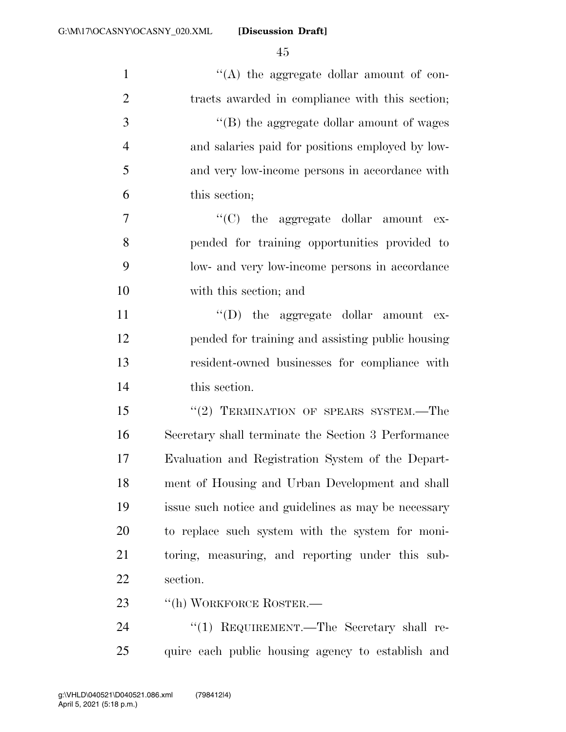| $\mathbf{1}$   | $\lq\lq$ the aggregate dollar amount of con-         |
|----------------|------------------------------------------------------|
| $\overline{2}$ | tracts awarded in compliance with this section;      |
| 3              | "(B) the aggregate dollar amount of wages            |
| $\overline{4}$ | and salaries paid for positions employed by low-     |
| 5              | and very low-income persons in accordance with       |
| 6              | this section;                                        |
| $\overline{7}$ | " $(C)$ the aggregate dollar amount ex-              |
| 8              | pended for training opportunities provided to        |
| 9              | low- and very low-income persons in accordance       |
| 10             | with this section; and                               |
| 11             | $\lq\lq$ (D) the aggregate dollar amount ex-         |
| 12             | pended for training and assisting public housing     |
| 13             | resident-owned businesses for compliance with        |
| 14             | this section.                                        |
| 15             | $``(2)$ TERMINATION OF SPEARS SYSTEM.—The            |
| 16             | Secretary shall terminate the Section 3 Performance  |
| 17             | Evaluation and Registration System of the Depart-    |
| 18             | ment of Housing and Urban Development and shall      |
| 19             | issue such notice and guidelines as may be necessary |
| 20             | to replace such system with the system for moni-     |
| 21             | toring, measuring, and reporting under this sub-     |
| 22             | section.                                             |
| 23             | "(h) WORKFORCE ROSTER.-                              |
| 24             | "(1) REQUIREMENT.—The Secretary shall re-            |

quire each public housing agency to establish and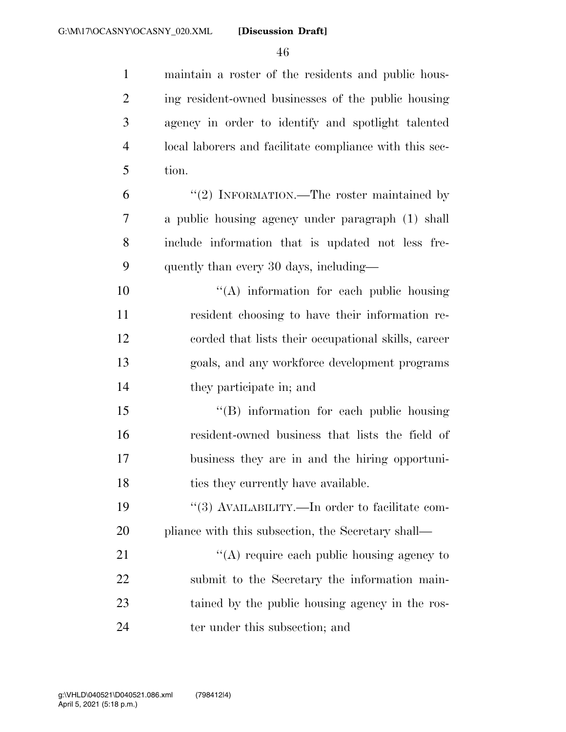| $\mathbf{1}$   | maintain a roster of the residents and public hous-     |
|----------------|---------------------------------------------------------|
| $\overline{2}$ | ing resident-owned businesses of the public housing     |
| 3              | agency in order to identify and spotlight talented      |
| $\overline{4}$ | local laborers and facilitate compliance with this sec- |
| 5              | tion.                                                   |
| 6              | "(2) INFORMATION.—The roster maintained by              |
| 7              | a public housing agency under paragraph (1) shall       |
| 8              | include information that is updated not less fre-       |
| 9              | quently than every 30 days, including—                  |
| 10             | $\lq\lq$ information for each public housing            |
| 11             | resident choosing to have their information re-         |
| 12             | corded that lists their occupational skills, career     |
| 13             | goals, and any workforce development programs           |
| 14             | they participate in; and                                |
| 15             | "(B) information for each public housing                |
| 16             | resident-owned business that lists the field of         |
| 17             | business they are in and the hiring opportuni-          |
| 18             | ties they currently have available.                     |
| 19             | "(3) AVAILABILITY.—In order to facilitate com-          |
| 20             | pliance with this subsection, the Secretary shall—      |
| 21             | "(A) require each public housing agency to              |
| 22             | submit to the Secretary the information main-           |
| 23             | tained by the public housing agency in the ros-         |
| 24             | ter under this subsection; and                          |

April 5, 2021 (5:18 p.m.) g:\VHLD\040521\D040521.086.xml (798412|4)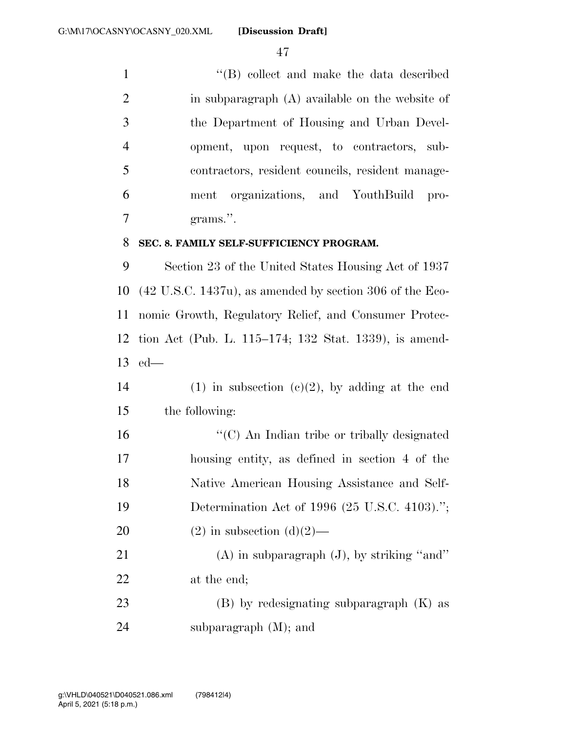1 ''(B) collect and make the data described 2 in subparagraph (A) available on the website of the Department of Housing and Urban Devel- opment, upon request, to contractors, sub- contractors, resident councils, resident manage- ment organizations, and YouthBuild pro-grams.''.

#### **SEC. 8. FAMILY SELF-SUFFICIENCY PROGRAM.**

 Section 23 of the United States Housing Act of 1937 (42 U.S.C. 1437u), as amended by section 306 of the Eco- nomic Growth, Regulatory Relief, and Consumer Protec- tion Act (Pub. L. 115–174; 132 Stat. 1339), is amend-ed—

14 (1) in subsection  $(c)(2)$ , by adding at the end the following:

16 "'(C) An Indian tribe or tribally designated housing entity, as defined in section 4 of the Native American Housing Assistance and Self- Determination Act of 1996 (25 U.S.C. 4103).''; 20 (2) in subsection  $(d)(2)$ — 21 (A) in subparagraph (J), by striking "and"

at the end;

 (B) by redesignating subparagraph (K) as subparagraph (M); and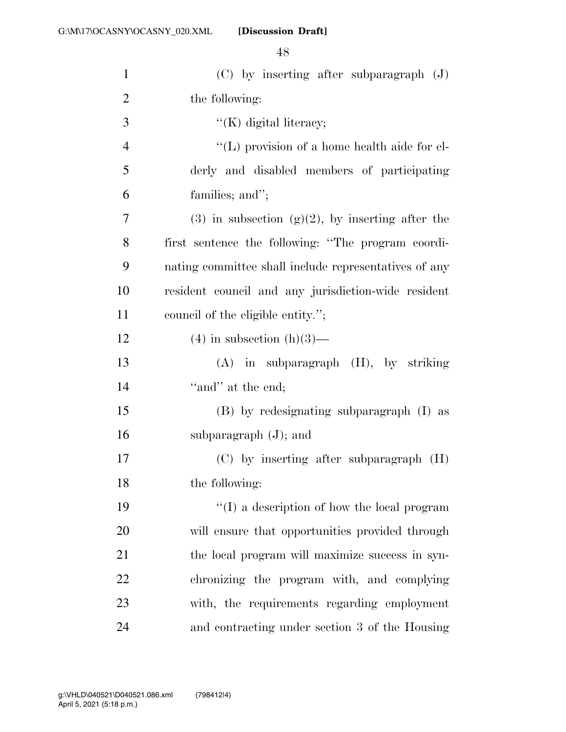| $\mathbf{1}$   | $(C)$ by inserting after subparagraph $(J)$           |
|----------------|-------------------------------------------------------|
| $\overline{2}$ | the following:                                        |
| 3              | $\lq\lq(K)$ digital literacy;                         |
| $\overline{4}$ | $\lq\lq$ (L) provision of a home health aide for el-  |
| 5              | derly and disabled members of participating           |
| 6              | families; and";                                       |
| 7              | $(3)$ in subsection $(g)(2)$ , by inserting after the |
| 8              | first sentence the following: "The program coordi-    |
| 9              | nating committee shall include representatives of any |
| 10             | resident council and any jurisdiction-wide resident   |
| 11             | council of the eligible entity.";                     |
| 12             | $(4)$ in subsection $(h)(3)$ —                        |
| 13             | $(A)$ in subparagraph $(H)$ , by striking             |
| 14             | "and" at the end;                                     |
| 15             | (B) by redesignating subparagraph (I) as              |
| 16             | subparagraph $(J)$ ; and                              |
| 17             | $(C)$ by inserting after subparagraph $(H)$           |
| 18             | the following:                                        |
| 19             | "(I) a description of how the local program           |
| 20             | will ensure that opportunities provided through       |
| 21             | the local program will maximize success in syn-       |
| 22             | chronizing the program with, and complying            |
| 23             | with, the requirements regarding employment           |
| 24             | and contracting under section 3 of the Housing        |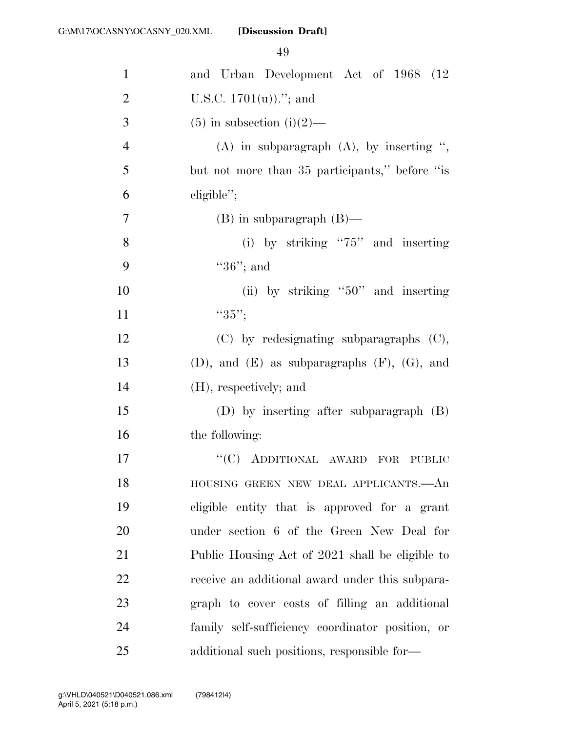| $\mathbf{1}$   | and Urban Development Act of 1968 (12                  |
|----------------|--------------------------------------------------------|
| $\overline{2}$ | U.S.C. $1701(u)$ ."; and                               |
| 3              | $(5)$ in subsection $(i)(2)$ —                         |
| $\overline{4}$ | $(A)$ in subparagraph $(A)$ , by inserting ",          |
| 5              | but not more than 35 participants," before "is         |
| 6              | eligible";                                             |
| 7              | $(B)$ in subparagraph $(B)$ —                          |
| 8              | (i) by striking " $75$ " and inserting                 |
| 9              | " $36$ "; and                                          |
| 10             | (ii) by striking " $50$ " and inserting                |
| 11             | " $35$ ";                                              |
| 12             | $(C)$ by redesignating subparagraphs $(C)$ ,           |
| 13             | $(D)$ , and $(E)$ as subparagraphs $(F)$ , $(G)$ , and |
| 14             | (H), respectively; and                                 |
| 15             | $(D)$ by inserting after subparagraph $(B)$            |
| 16             | the following:                                         |
| 17             | "(C) ADDITIONAL AWARD<br>FOR<br><b>PUBLIC</b>          |
| 18             | HOUSING GREEN NEW DEAL APPLICANTS.- An                 |
| 19             | eligible entity that is approved for a grant           |
| 20             | under section 6 of the Green New Deal for              |
| 21             | Public Housing Act of 2021 shall be eligible to        |
| 22             | receive an additional award under this subpara-        |
| 23             | graph to cover costs of filling an additional          |
| 24             | family self-sufficiency coordinator position, or       |
| 25             | additional such positions, responsible for-            |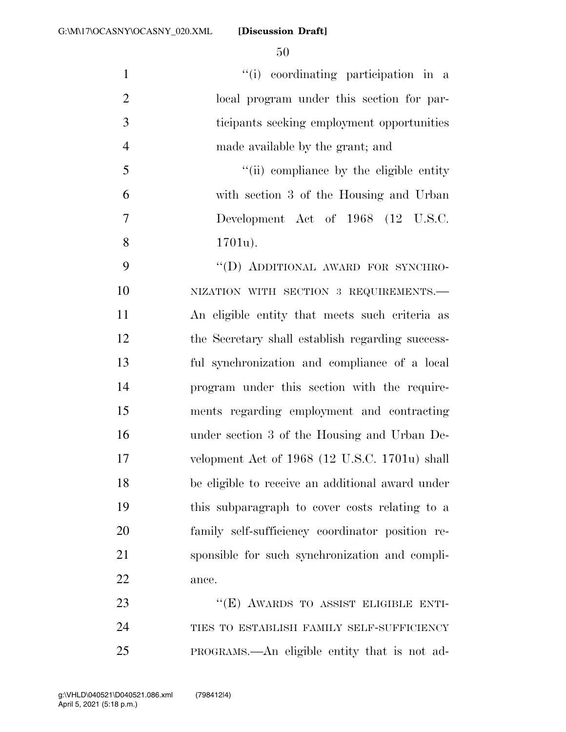$\frac{1}{1}$  coordinating participation in a local program under this section for par- ticipants seeking employment opportunities made available by the grant; and ''(ii) compliance by the eligible entity with section 3 of the Housing and Urban Development Act of 1968 (12 U.S.C. 1701u). 9 "(D) ADDITIONAL AWARD FOR SYNCHRO-10 NIZATION WITH SECTION 3 REQUIREMENTS. An eligible entity that meets such criteria as the Secretary shall establish regarding success- ful synchronization and compliance of a local program under this section with the require- ments regarding employment and contracting under section 3 of the Housing and Urban De- velopment Act of 1968 (12 U.S.C. 1701u) shall be eligible to receive an additional award under this subparagraph to cover costs relating to a family self-sufficiency coordinator position re- sponsible for such synchronization and compli-ance.

23 "(E) AWARDS TO ASSIST ELIGIBLE ENTI-24 TIES TO ESTABLISH FAMILY SELF-SUFFICIENCY PROGRAMS.—An eligible entity that is not ad-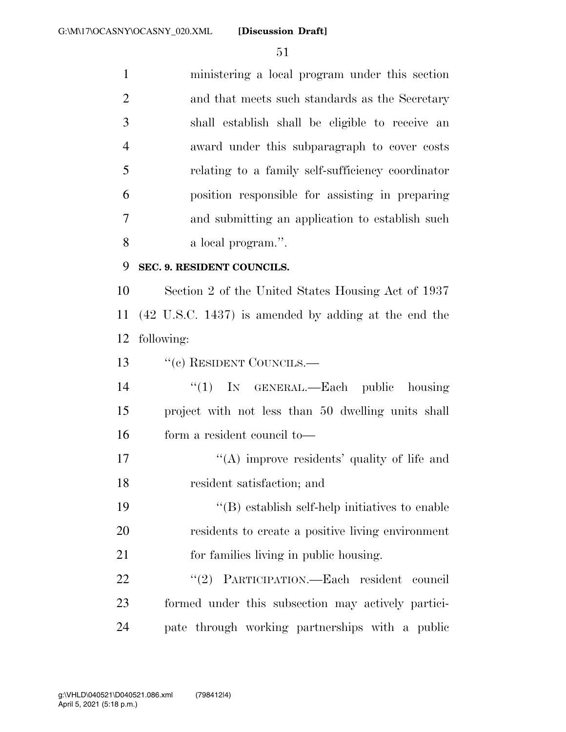ministering a local program under this section and that meets such standards as the Secretary shall establish shall be eligible to receive an award under this subparagraph to cover costs relating to a family self-sufficiency coordinator position responsible for assisting in preparing and submitting an application to establish such a local program.''. **SEC. 9. RESIDENT COUNCILS.** 

 Section 2 of the United States Housing Act of 1937 (42 U.S.C. 1437) is amended by adding at the end the following:

13 "(c) RESIDENT COUNCILS.—

 ''(1) IN GENERAL.—Each public housing project with not less than 50 dwelling units shall form a resident council to—

17  $\langle (A) \rangle$  improve residents' quality of life and resident satisfaction; and

 ''(B) establish self-help initiatives to enable residents to create a positive living environment for families living in public housing.

22 "(2) PARTICIPATION.—Each resident council formed under this subsection may actively partici-pate through working partnerships with a public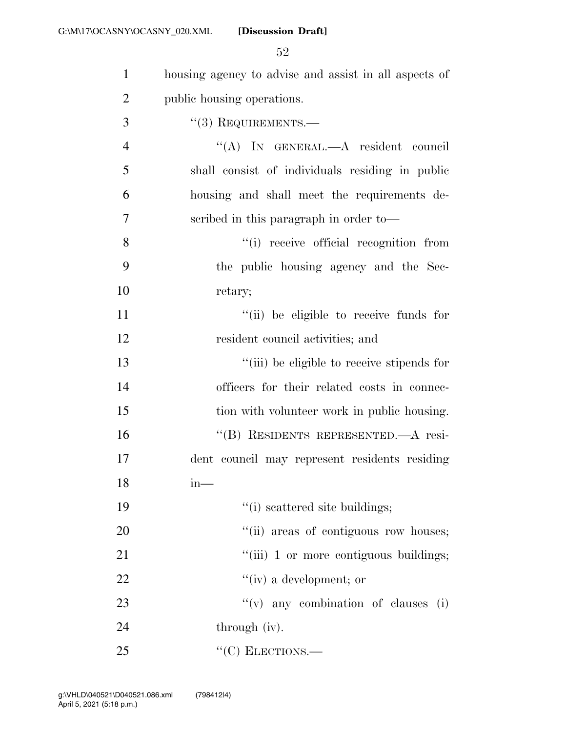| $\mathbf{1}$   | housing agency to advise and assist in all aspects of |
|----------------|-------------------------------------------------------|
| $\overline{2}$ | public housing operations.                            |
| 3              | $"(3)$ REQUIREMENTS.—                                 |
| $\overline{4}$ | "(A) IN GENERAL.—A resident council                   |
| 5              | shall consist of individuals residing in public       |
| 6              | housing and shall meet the requirements de-           |
| 7              | scribed in this paragraph in order to-                |
| 8              | "(i) receive official recognition from                |
| 9              | the public housing agency and the Sec-                |
| 10             | retary;                                               |
| 11             | "(ii) be eligible to receive funds for                |
| 12             | resident council activities; and                      |
| 13             | "(iii) be eligible to receive stipends for            |
| 14             | officers for their related costs in connec-           |
| 15             | tion with volunteer work in public housing.           |
| 16             | "(B) RESIDENTS REPRESENTED.—A resi-                   |
| 17             | dent council may represent residents residing         |
| 18             | $m$ —                                                 |
| 19             | "(i) scattered site buildings;                        |
| 20             | "(ii) areas of contiguous row houses;                 |
| 21             | "(iii) 1 or more contiguous buildings;                |
| 22             | $``(iv)$ a development; or                            |
| 23             | $f'(v)$ any combination of clauses (i)                |
| 24             | through (iv).                                         |
| 25             | $``(C)$ ELECTIONS.—                                   |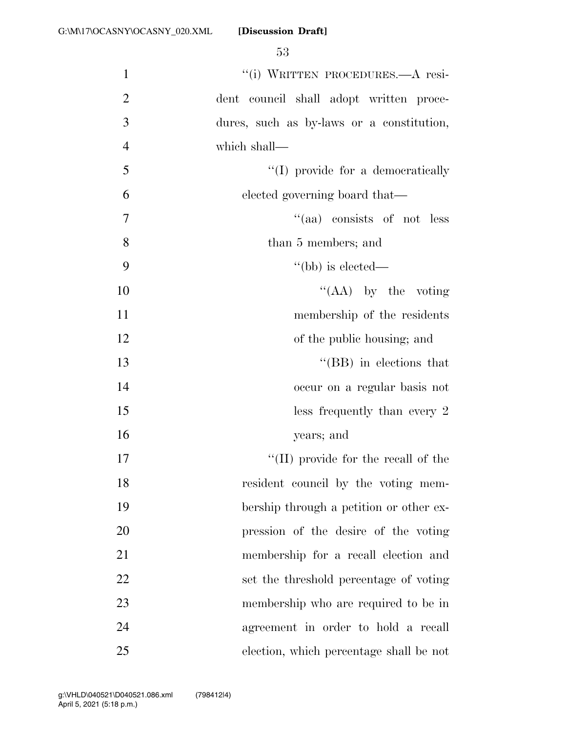| $\mathbf{1}$   | "(i) WRITTEN PROCEDURES .- A resi-          |
|----------------|---------------------------------------------|
| $\overline{2}$ | dent council shall adopt written proce-     |
| 3              | dures, such as by-laws or a constitution,   |
| $\overline{4}$ | which shall—                                |
| 5              | "(I) provide for a democratically           |
| 6              | elected governing board that—               |
| $\overline{7}$ | "(aa) consists of not less                  |
| 8              | than 5 members; and                         |
| 9              | "(bb) is elected—                           |
| 10             | "(AA) by the voting                         |
| 11             | membership of the residents                 |
| 12             | of the public housing; and                  |
| 13             | $\lq\lq$ (BB) in elections that             |
| 14             | occur on a regular basis not                |
| 15             | $\text{less}$ frequently than every 2       |
| 16             | years; and                                  |
| 17             | $\lq\lq$ (II) provide for the recall of the |
| 18             | resident council by the voting mem-         |
| 19             | bership through a petition or other ex-     |
| 20             | pression of the desire of the voting        |
| 21             | membership for a recall election and        |
| 22             | set the threshold percentage of voting      |
| 23             | membership who are required to be in        |
| 24             | agreement in order to hold a recall         |
| 25             | election, which percentage shall be not     |